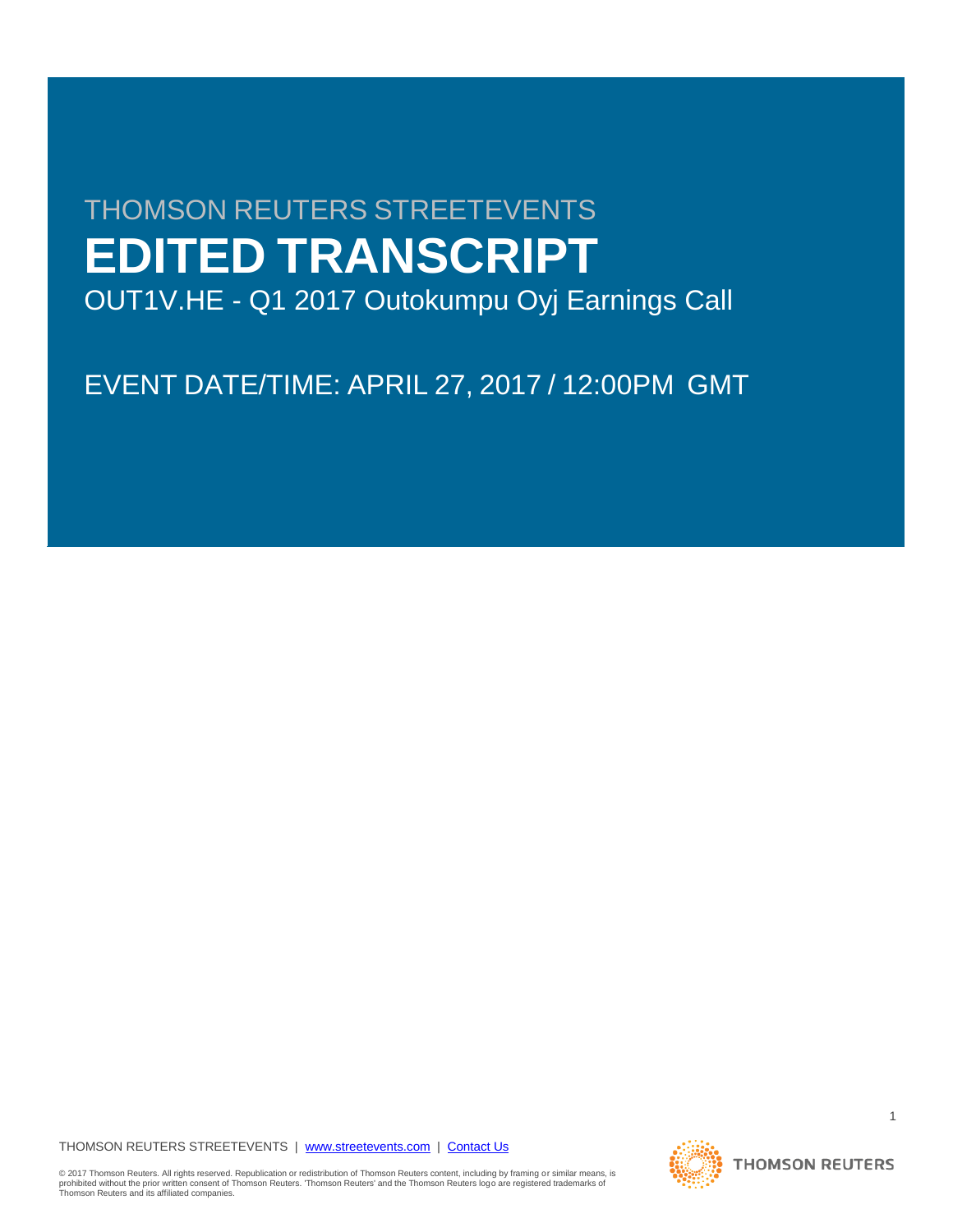# THOMSON REUTERS STREETEVENTS **EDITED TRANSCRIPT**

OUT1V.HE - Q1 2017 Outokumpu Oyj Earnings Call

EVENT DATE/TIME: APRIL 27, 2017 / 12:00PM GMT

THOMSON REUTERS STREETEVENTS | [www.streetevents.com](http://www.streetevents.com/) | [Contact Us](http://www010.streetevents.com/contact.asp)

© 2017 Thomson Reuters. All rights reserved. Republication or redistribution of Thomson Reuters content, including by framing or similar means, is<br>prohibited without the prior written consent of Thomson Reuters. 'Thomson

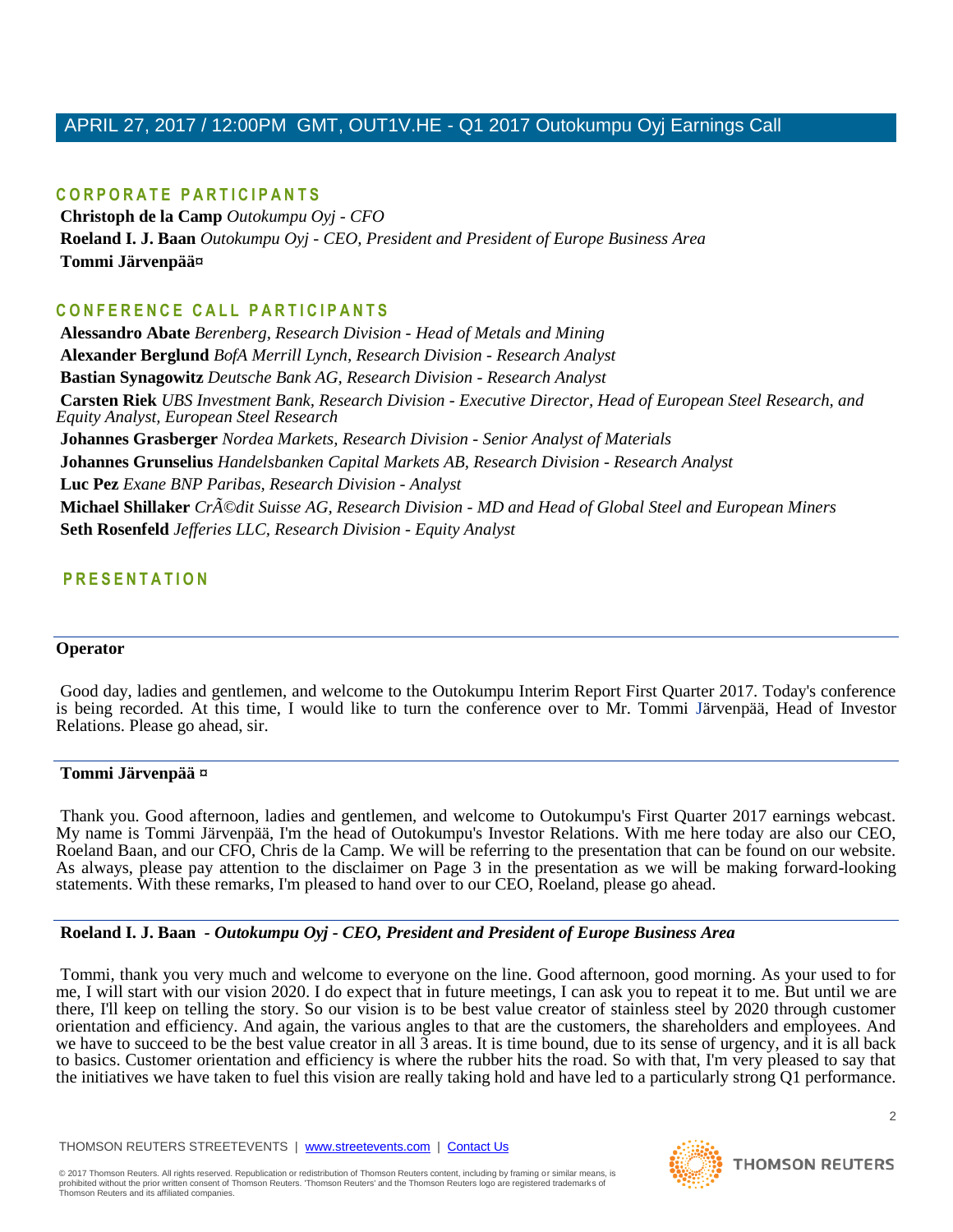# **C O R P O R A T E P A R T I C I P A N T S**

**Christoph de la Camp** *Outokumpu Oyj - CFO* **Roeland I. J. Baan** *Outokumpu Oyj - CEO, President and President of Europe Business Area* **Tommi Järvenpää¤**

# **C O N F E R E N C E C A L L P A R T I C I P A N T S**

**Alessandro Abate** *Berenberg, Research Division - Head of Metals and Mining* **Alexander Berglund** *BofA Merrill Lynch, Research Division - Research Analyst* **Bastian Synagowitz** *Deutsche Bank AG, Research Division - Research Analyst* **Carsten Riek** *UBS Investment Bank, Research Division - Executive Director, Head of European Steel Research, and Equity Analyst, European Steel Research* **Johannes Grasberger** *Nordea Markets, Research Division - Senior Analyst of Materials* **Johannes Grunselius** *Handelsbanken Capital Markets AB, Research Division - Research Analyst* **Luc Pez** *Exane BNP Paribas, Research Division - Analyst* **Michael Shillaker** *Crédit Suisse AG, Research Division - MD and Head of Global Steel and European Miners* **Seth Rosenfeld** *Jefferies LLC, Research Division - Equity Analyst*

# **P R E S E N T A T I O N**

#### **Operator**

Good day, ladies and gentlemen, and welcome to the Outokumpu Interim Report First Quarter 2017. Today's conference is being recorded. At this time, I would like to turn the conference over to Mr. Tommi Järvenpää, Head of Investor Relations. Please go ahead, sir.

#### **Tommi Järvenpää ¤**

Thank you. Good afternoon, ladies and gentlemen, and welcome to Outokumpu's First Quarter 2017 earnings webcast. My name is Tommi Järvenpää, I'm the head of Outokumpu's Investor Relations. With me here today are also our CEO, Roeland Baan, and our CFO, Chris de la Camp. We will be referring to the presentation that can be found on our website. As always, please pay attention to the disclaimer on Page 3 in the presentation as we will be making forward-looking statements. With these remarks, I'm pleased to hand over to our CEO, Roeland, please go ahead.

#### **Roeland I. J. Baan** *- Outokumpu Oyj - CEO, President and President of Europe Business Area*

Tommi, thank you very much and welcome to everyone on the line. Good afternoon, good morning. As your used to for me, I will start with our vision 2020. I do expect that in future meetings, I can ask you to repeat it to me. But until we are there, I'll keep on telling the story. So our vision is to be best value creator of stainless steel by 2020 through customer orientation and efficiency. And again, the various angles to that are the customers, the shareholders and employees. And we have to succeed to be the best value creator in all  $\overline{3}$  areas. It is time bound, due to its sense of urgency, and it is all back to basics. Customer orientation and efficiency is where the rubber hits the road. So with that, I'm very pleased to say that the initiatives we have taken to fuel this vision are really taking hold and have led to a particularly strong Q1 performance.

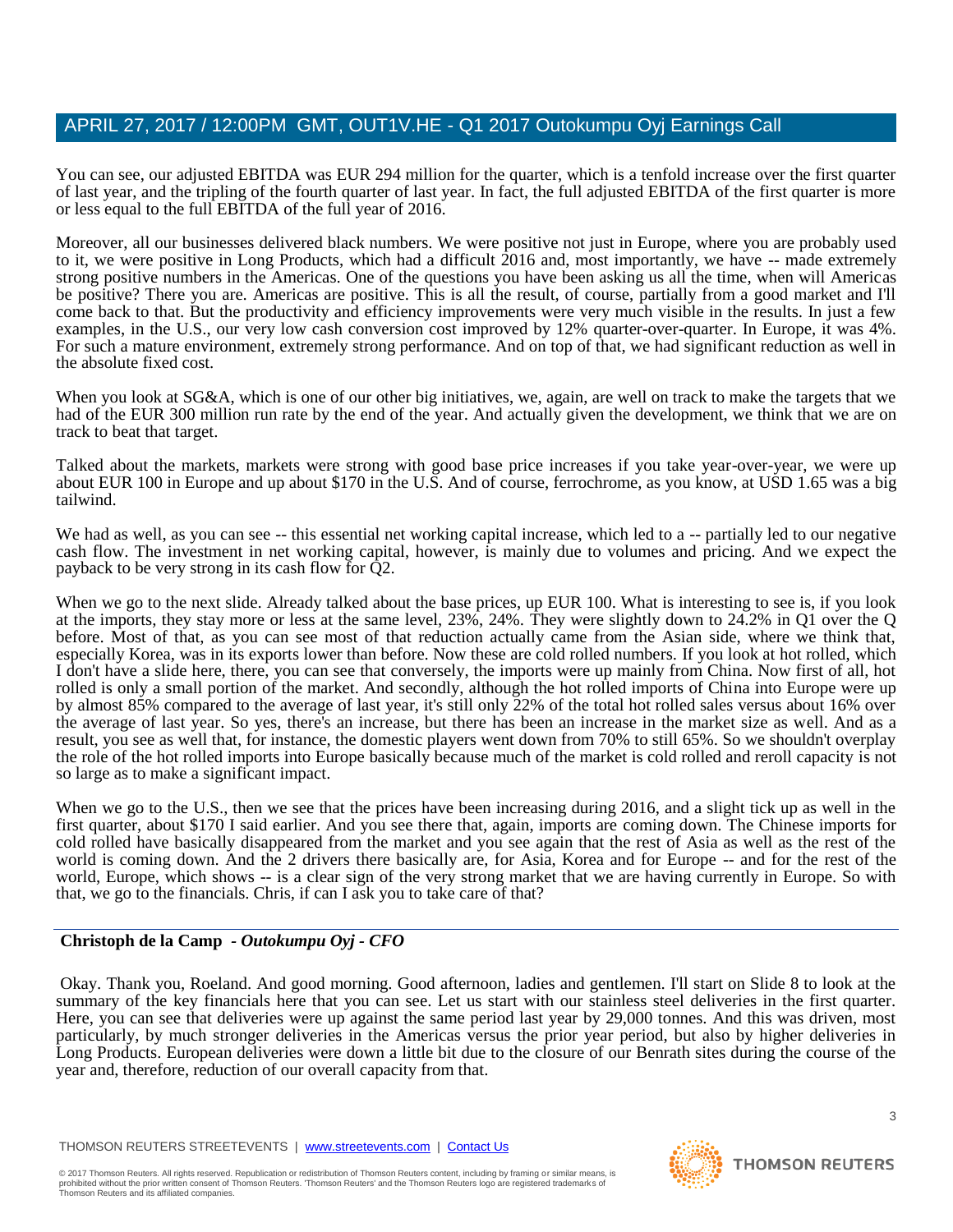You can see, our adjusted EBITDA was EUR 294 million for the quarter, which is a tenfold increase over the first quarter of last year, and the tripling of the fourth quarter of last year. In fact, the full adjusted EBITDA of the first quarter is more or less equal to the full EBITDA of the full year of 2016.

Moreover, all our businesses delivered black numbers. We were positive not just in Europe, where you are probably used to it, we were positive in Long Products, which had a difficult 2016 and, most importantly, we have -- made extremely strong positive numbers in the Americas. One of the questions you have been asking us all the time, when will Americas be positive? There you are. Americas are positive. This is all the result, of course, partially from a good market and I'll come back to that. But the productivity and efficiency improvements were very much visible in the results. In just a few examples, in the U.S., our very low cash conversion cost improved by 12% quarter-over-quarter. In Europe, it was 4%. For such a mature environment, extremely strong performance. And on top of that, we had significant reduction as well in the absolute fixed cost.

When you look at SG&A, which is one of our other big initiatives, we, again, are well on track to make the targets that we had of the EUR 300 million run rate by the end of the year. And actually given the development, we think that we are on track to beat that target.

Talked about the markets, markets were strong with good base price increases if you take year-over-year, we were up about EUR 100 in Europe and up about \$170 in the U.S. And of course, ferrochrome, as you know, at USD 1.65 was a big tailwind.

We had as well, as you can see -- this essential net working capital increase, which led to a -- partially led to our negative cash flow. The investment in net working capital, however, is mainly due to volumes and pricing. And we expect the payback to be very strong in its cash flow for Q2.

When we go to the next slide. Already talked about the base prices, up EUR 100. What is interesting to see is, if you look at the imports, they stay more or less at the same level, 23%, 24%. They were slightly down to 24.2% in Q1 over the Q before. Most of that, as you can see most of that reduction actually came from the Asian side, where we think that, especially Korea, was in its exports lower than before. Now these are cold rolled numbers. If you look at hot rolled, which I don't have a slide here, there, you can see that conversely, the imports were up mainly from China. Now first of all, hot rolled is only a small portion of the market. And secondly, although the hot rolled imports of China into Europe were up by almost 85% compared to the average of last year, it's still only 22% of the total hot rolled sales versus about 16% over the average of last year. So yes, there's an increase, but there has been an increase in the market size as well. And as a result, you see as well that, for instance, the domestic players went down from 70% to still 65%. So we shouldn't overplay the role of the hot rolled imports into Europe basically because much of the market is cold rolled and reroll capacity is not so large as to make a significant impact.

When we go to the U.S., then we see that the prices have been increasing during 2016, and a slight tick up as well in the first quarter, about \$170 I said earlier. And you see there that, again, imports are coming down. The Chinese imports for cold rolled have basically disappeared from the market and you see again that the rest of Asia as well as the rest of the world is coming down. And the 2 drivers there basically are, for Asia, Korea and for Europe -- and for the rest of the world, Europe, which shows -- is a clear sign of the very strong market that we are having currently in Europe. So with that, we go to the financials. Chris, if can I ask you to take care of that?

#### **Christoph de la Camp** *- Outokumpu Oyj - CFO*

Okay. Thank you, Roeland. And good morning. Good afternoon, ladies and gentlemen. I'll start on Slide 8 to look at the summary of the key financials here that you can see. Let us start with our stainless steel deliveries in the first quarter. Here, you can see that deliveries were up against the same period last year by 29,000 tonnes. And this was driven, most particularly, by much stronger deliveries in the Americas versus the prior year period, but also by higher deliveries in Long Products. European deliveries were down a little bit due to the closure of our Benrath sites during the course of the year and, therefore, reduction of our overall capacity from that.

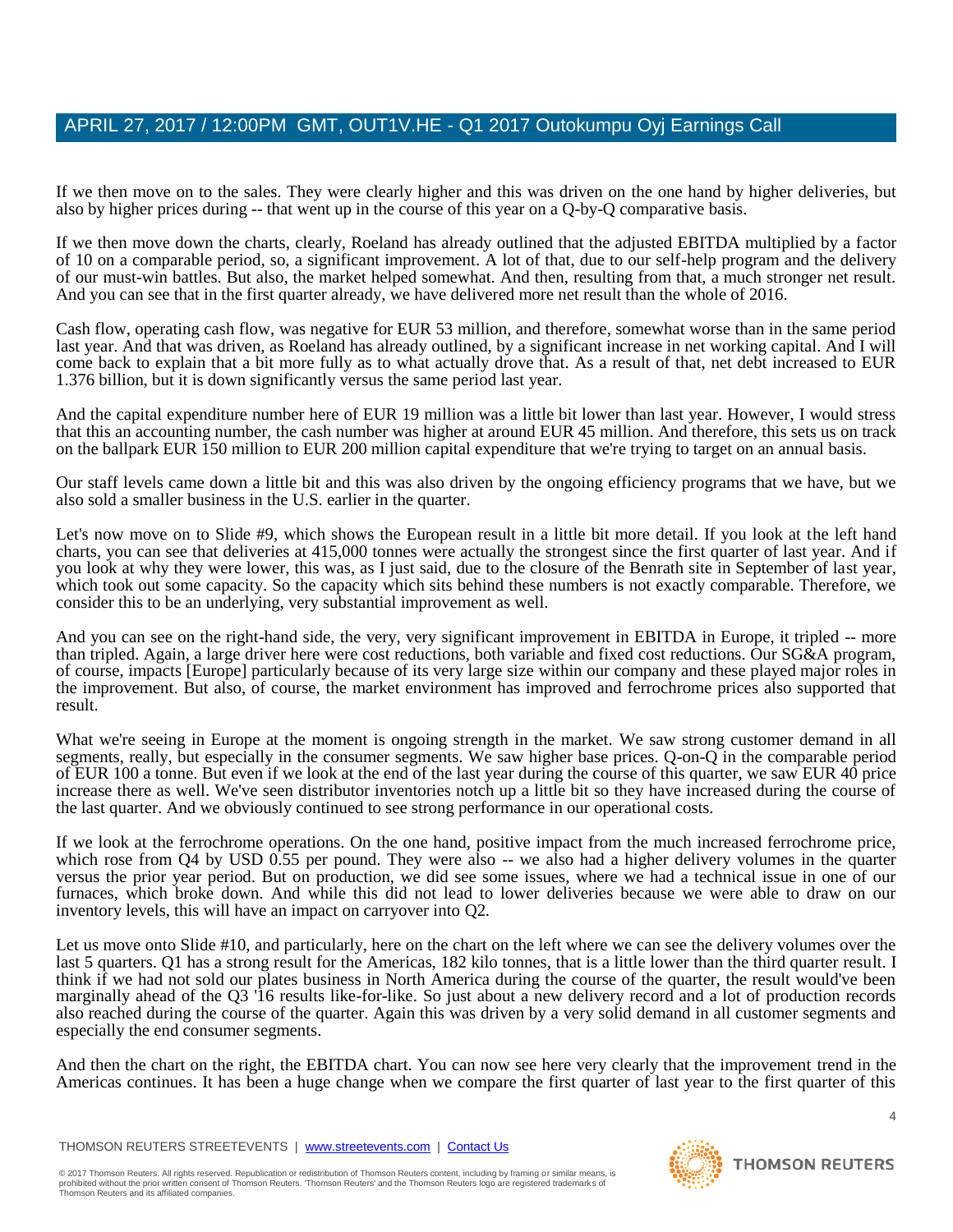If we then move on to the sales. They were clearly higher and this was driven on the one hand by higher deliveries, but also by higher prices during -- that went up in the course of this year on a Q-by-Q comparative basis.

If we then move down the charts, clearly, Roeland has already outlined that the adjusted EBITDA multiplied by a factor of 10 on a comparable period, so, a significant improvement. A lot of that, due to our self-help program and the delivery of our must-win battles. But also, the market helped somewhat. And then, resulting from that, a much stronger net result. And you can see that in the first quarter already, we have delivered more net result than the whole of 2016.

Cash flow, operating cash flow, was negative for EUR 53 million, and therefore, somewhat worse than in the same period last year. And that was driven, as Roeland has already outlined, by a significant increase in net working capital. And I will come back to explain that a bit more fully as to what actually drove that. As a result of that, net debt increased to EUR 1.376 billion, but it is down significantly versus the same period last year.

And the capital expenditure number here of EUR 19 million was a little bit lower than last year. However, I would stress that this an accounting number, the cash number was higher at around EUR 45 million. And therefore, this sets us on track on the ballpark EUR 150 million to EUR 200 million capital expenditure that we're trying to target on an annual basis.

Our staff levels came down a little bit and this was also driven by the ongoing efficiency programs that we have, but we also sold a smaller business in the U.S. earlier in the quarter.

Let's now move on to Slide #9, which shows the European result in a little bit more detail. If you look at the left hand charts, you can see that deliveries at 415,000 tonnes were actually the strongest since the first quarter of last year. And if you look at why they were lower, this was, as I just said, due to the closure of the Benrath site in September of last year, which took out some capacity. So the capacity which sits behind these numbers is not exactly comparable. Therefore, we consider this to be an underlying, very substantial improvement as well.

And you can see on the right-hand side, the very, very significant improvement in EBITDA in Europe, it tripled -- more than tripled. Again, a large driver here were cost reductions, both variable and fixed cost reductions. Our SG&A program, of course, impacts [Europe] particularly because of its very large size within our company and these played major roles in the improvement. But also, of course, the market environment has improved and ferrochrome prices also supported that result.

What we're seeing in Europe at the moment is ongoing strength in the market. We saw strong customer demand in all segments, really, but especially in the consumer segments. We saw higher base prices. Q-on-Q in the comparable period of EUR 100 a tonne. But even if we look at the end of the last year during the course of this quarter, we saw EUR 40 price increase there as well. We've seen distributor inventories notch up a little bit so they have increased during the course of the last quarter. And we obviously continued to see strong performance in our operational costs.

If we look at the ferrochrome operations. On the one hand, positive impact from the much increased ferrochrome price, which rose from Q4 by USD 0.55 per pound. They were also -- we also had a higher delivery volumes in the quarter versus the prior year period. But on production, we did see some issues, where we had a technical issue in one of our furnaces, which broke down. And while this did not lead to lower deliveries because we were able to draw on our inventory levels, this will have an impact on carryover into Q2.

Let us move onto Slide #10, and particularly, here on the chart on the left where we can see the delivery volumes over the last 5 quarters. Q1 has a strong result for the Americas, 182 kilo tonnes, that is a little lower than the third quarter result. I think if we had not sold our plates business in North America during the course of the quarter, the result would've been marginally ahead of the Q3 '16 results like-for-like. So just about a new delivery record and a lot of production records also reached during the course of the quarter. Again this was driven by a very solid demand in all customer segments and especially the end consumer segments.

And then the chart on the right, the EBITDA chart. You can now see here very clearly that the improvement trend in the Americas continues. It has been a huge change when we compare the first quarter of last year to the first quarter of this

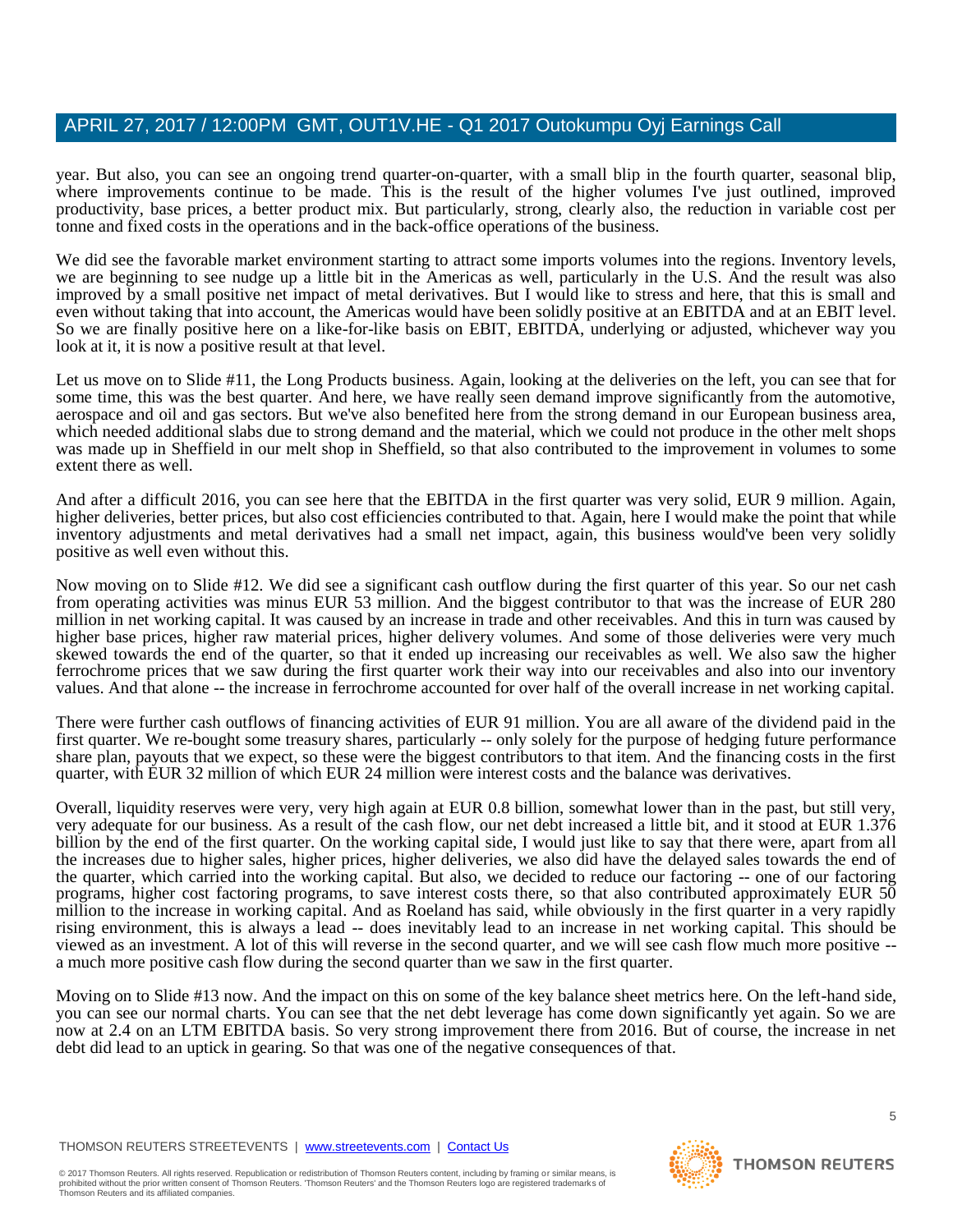year. But also, you can see an ongoing trend quarter-on-quarter, with a small blip in the fourth quarter, seasonal blip, where improvements continue to be made. This is the result of the higher volumes I've just outlined, improved productivity, base prices, a better product mix. But particularly, strong, clearly also, the reduction in variable cost per tonne and fixed costs in the operations and in the back-office operations of the business.

We did see the favorable market environment starting to attract some imports volumes into the regions. Inventory levels, we are beginning to see nudge up a little bit in the Americas as well, particularly in the U.S. And the result was also improved by a small positive net impact of metal derivatives. But I would like to stress and here, that this is small and even without taking that into account, the Americas would have been solidly positive at an EBITDA and at an EBIT level. So we are finally positive here on a like-for-like basis on EBIT, EBITDA, underlying or adjusted, whichever way you look at it, it is now a positive result at that level.

Let us move on to Slide #11, the Long Products business. Again, looking at the deliveries on the left, you can see that for some time, this was the best quarter. And here, we have really seen demand improve significantly from the automotive, aerospace and oil and gas sectors. But we've also benefited here from the strong demand in our European business area, which needed additional slabs due to strong demand and the material, which we could not produce in the other melt shops was made up in Sheffield in our melt shop in Sheffield, so that also contributed to the improvement in volumes to some extent there as well.

And after a difficult 2016, you can see here that the EBITDA in the first quarter was very solid, EUR 9 million. Again, higher deliveries, better prices, but also cost efficiencies contributed to that. Again, here I would make the point that while inventory adjustments and metal derivatives had a small net impact, again, this business would've been very solidly positive as well even without this.

Now moving on to Slide #12. We did see a significant cash outflow during the first quarter of this year. So our net cash from operating activities was minus EUR 53 million. And the biggest contributor to that was the increase of EUR 280 million in net working capital. It was caused by an increase in trade and other receivables. And this in turn was caused by higher base prices, higher raw material prices, higher delivery volumes. And some of those deliveries were very much skewed towards the end of the quarter, so that it ended up increasing our receivables as well. We also saw the higher ferrochrome prices that we saw during the first quarter work their way into our receivables and also into our inventory values. And that alone -- the increase in ferrochrome accounted for over half of the overall increase in net working capital.

There were further cash outflows of financing activities of EUR 91 million. You are all aware of the dividend paid in the first quarter. We re-bought some treasury shares, particularly -- only solely for the purpose of hedging future performance share plan, payouts that we expect, so these were the biggest contributors to that item. And the financing costs in the first quarter, with EUR 32 million of which EUR 24 million were interest costs and the balance was derivatives.

Overall, liquidity reserves were very, very high again at EUR 0.8 billion, somewhat lower than in the past, but still very, very adequate for our business. As a result of the cash flow, our net debt increased a little bit, and it stood at EUR 1.376 billion by the end of the first quarter. On the working capital side, I would just like to say that there were, apart from all the increases due to higher sales, higher prices, higher deliveries, we also did have the delayed sales towards the end of the quarter, which carried into the working capital. But also, we decided to reduce our factoring -- one of our factoring programs, higher cost factoring programs, to save interest costs there, so that also contributed approximately EUR 50 million to the increase in working capital. And as Roeland has said, while obviously in the first quarter in a very rapidly rising environment, this is always a lead -- does inevitably lead to an increase in net working capital. This should be viewed as an investment. A lot of this will reverse in the second quarter, and we will see cash flow much more positive - a much more positive cash flow during the second quarter than we saw in the first quarter.

Moving on to Slide #13 now. And the impact on this on some of the key balance sheet metrics here. On the left-hand side, you can see our normal charts. You can see that the net debt leverage has come down significantly yet again. So we are now at 2.4 on an LTM EBITDA basis. So very strong improvement there from 2016. But of course, the increase in net debt did lead to an uptick in gearing. So that was one of the negative consequences of that.

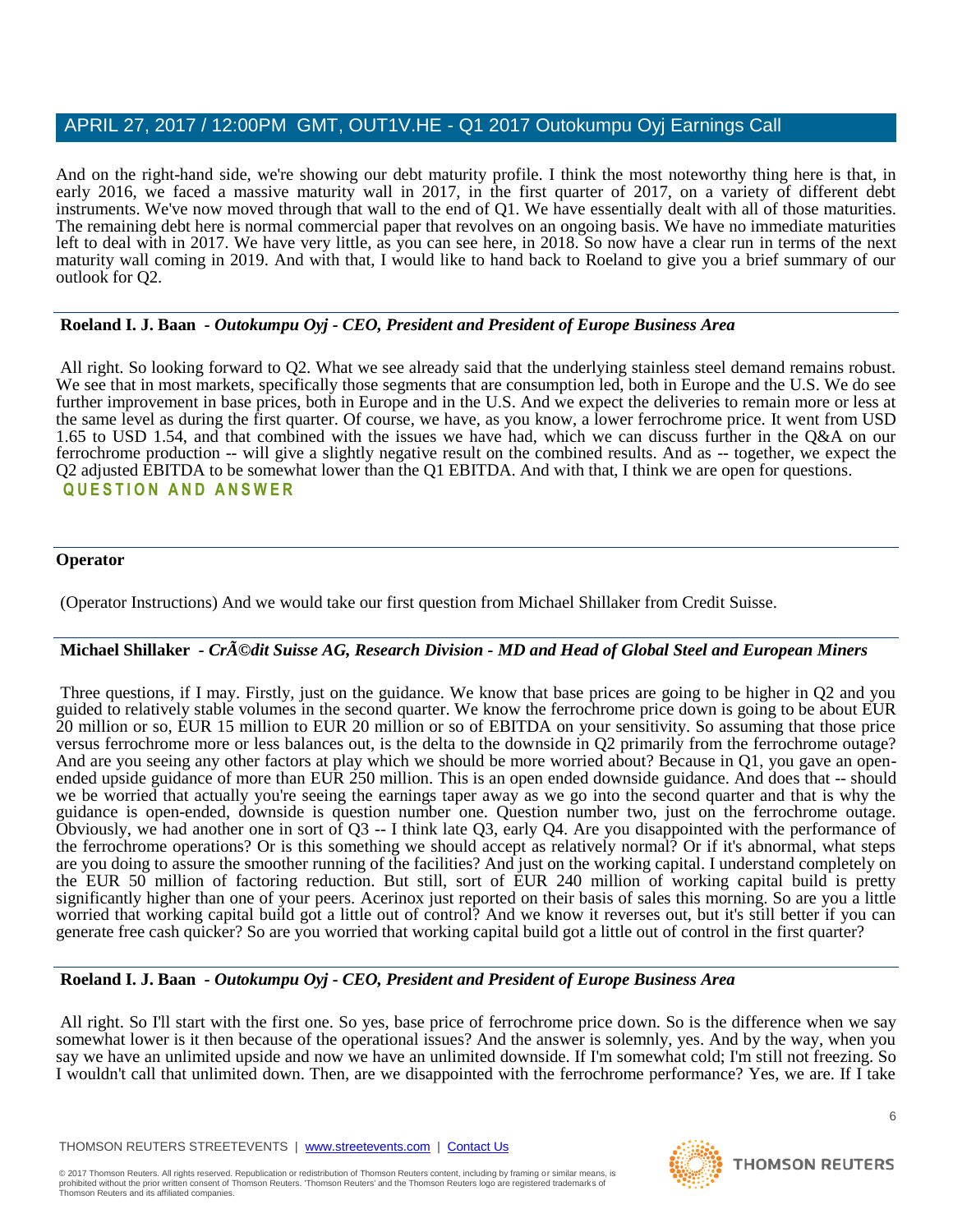And on the right-hand side, we're showing our debt maturity profile. I think the most noteworthy thing here is that, in early 2016, we faced a massive maturity wall in 2017, in the first quarter of 2017, on a variety of different debt instruments. We've now moved through that wall to the end of Q1. We have essentially dealt with all of those maturities. The remaining debt here is normal commercial paper that revolves on an ongoing basis. We have no immediate maturities left to deal with in 2017. We have very little, as you can see here, in 2018. So now have a clear run in terms of the next maturity wall coming in 2019. And with that, I would like to hand back to Roeland to give you a brief summary of our outlook for Q2.

## **Roeland I. J. Baan** *- Outokumpu Oyj - CEO, President and President of Europe Business Area*

All right. So looking forward to Q2. What we see already said that the underlying stainless steel demand remains robust. We see that in most markets, specifically those segments that are consumption led, both in Europe and the U.S. We do see further improvement in base prices, both in Europe and in the U.S. And we expect the deliveries to remain more or less at the same level as during the first quarter. Of course, we have, as you know, a lower ferrochrome price. It went from USD 1.65 to USD 1.54, and that combined with the issues we have had, which we can discuss further in the Q&A on our ferrochrome production -- will give a slightly negative result on the combined results. And as -- together, we expect the Q2 adjusted EBITDA to be somewhat lower than the Q1 EBITDA. And with that, I think we are open for questions. **QUESTION AND ANSWER** 

#### **Operator**

(Operator Instructions) And we would take our first question from Michael Shillaker from Credit Suisse.

# **Michael Shillaker** *- Crédit Suisse AG, Research Division - MD and Head of Global Steel and European Miners*

Three questions, if I may. Firstly, just on the guidance. We know that base prices are going to be higher in Q2 and you guided to relatively stable volumes in the second quarter. We know the ferrochrome price down is going to be about EUR 20 million or so, EUR 15 million to EUR 20 million or so of EBITDA on your sensitivity. So assuming that those price versus ferrochrome more or less balances out, is the delta to the downside in Q2 primarily from the ferrochrome outage? And are you seeing any other factors at play which we should be more worried about? Because in Q1, you gave an openended upside guidance of more than EUR 250 million. This is an open ended downside guidance. And does that -- should we be worried that actually you're seeing the earnings taper away as we go into the second quarter and that is why the guidance is open-ended, downside is question number one. Question number two, just on the ferrochrome outage. Obviously, we had another one in sort of Q3 -- I think late Q3, early Q4. Are you disappointed with the performance of the ferrochrome operations? Or is this something we should accept as relatively normal? Or if it's abnormal, what steps are you doing to assure the smoother running of the facilities? And just on the working capital. I understand completely on the EUR 50 million of factoring reduction. But still, sort of EUR 240 million of working capital build is pretty significantly higher than one of your peers. Acerinox just reported on their basis of sales this morning. So are you a little worried that working capital build got a little out of control? And we know it reverses out, but it's still better if you can generate free cash quicker? So are you worried that working capital build got a little out of control in the first quarter?

#### **Roeland I. J. Baan** *- Outokumpu Oyj - CEO, President and President of Europe Business Area*

All right. So I'll start with the first one. So yes, base price of ferrochrome price down. So is the difference when we say somewhat lower is it then because of the operational issues? And the answer is solemnly, yes. And by the way, when you say we have an unlimited upside and now we have an unlimited downside. If I'm somewhat cold; I'm still not freezing. So I wouldn't call that unlimited down. Then, are we disappointed with the ferrochrome performance? Yes, we are. If I take

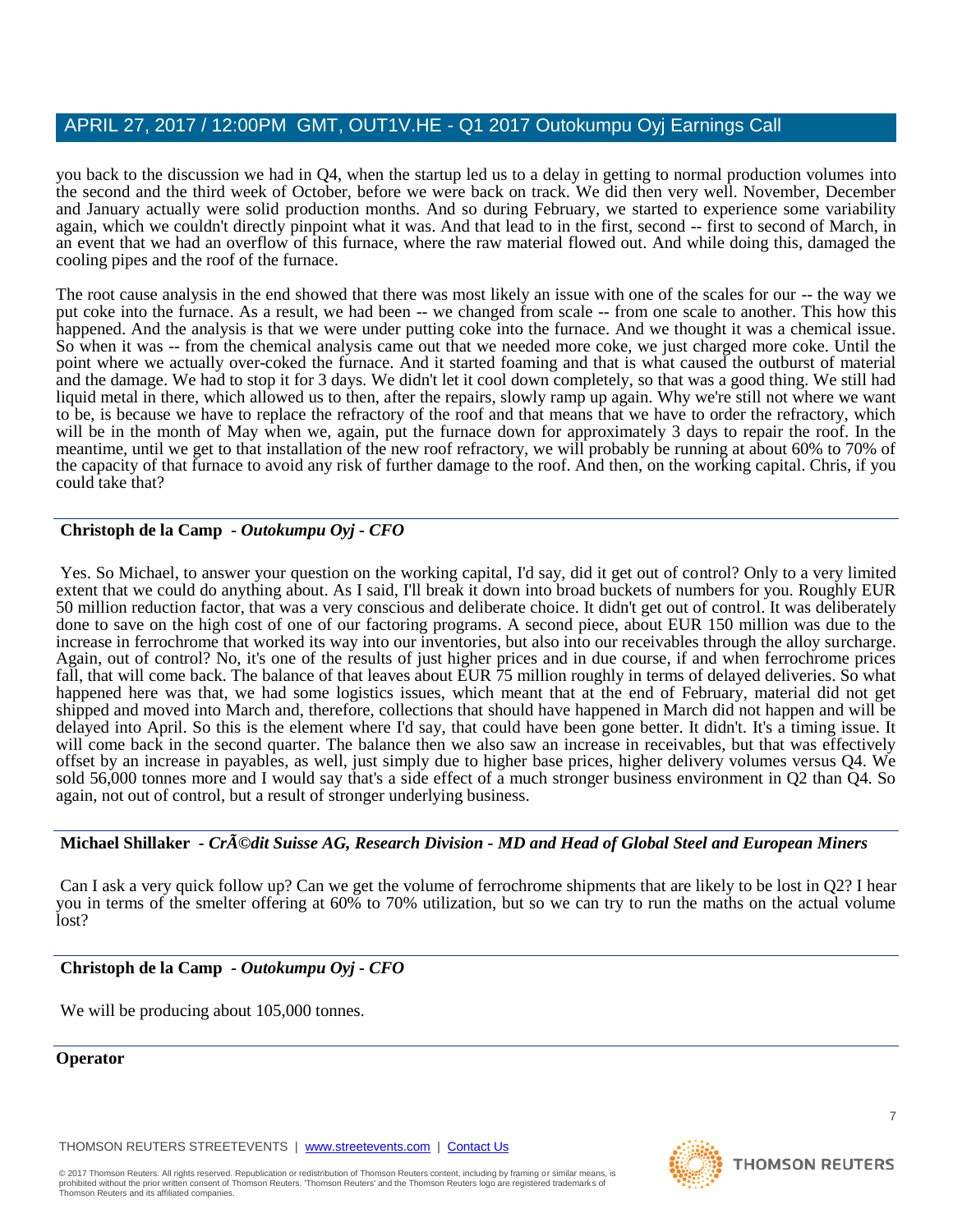you back to the discussion we had in Q4, when the startup led us to a delay in getting to normal production volumes into the second and the third week of October, before we were back on track. We did then very well. November, December and January actually were solid production months. And so during February, we started to experience some variability again, which we couldn't directly pinpoint what it was. And that lead to in the first, second -- first to second of March, in an event that we had an overflow of this furnace, where the raw material flowed out. And while doing this, damaged the cooling pipes and the roof of the furnace.

The root cause analysis in the end showed that there was most likely an issue with one of the scales for our -- the way we put coke into the furnace. As a result, we had been -- we changed from scale -- from one scale to another. This how this happened. And the analysis is that we were under putting coke into the furnace. And we thought it was a chemical issue. So when it was -- from the chemical analysis came out that we needed more coke, we just charged more coke. Until the point where we actually over-coked the furnace. And it started foaming and that is what caused the outburst of material and the damage. We had to stop it for 3 days. We didn't let it cool down completely, so that was a good thing. We still had liquid metal in there, which allowed us to then, after the repairs, slowly ramp up again. Why we're still not where we want to be, is because we have to replace the refractory of the roof and that means that we have to order the refractory, which will be in the month of May when we, again, put the furnace down for approximately 3 days to repair the roof. In the meantime, until we get to that installation of the new roof refractory, we will probably be running at about 60% to 70% of the capacity of that furnace to avoid any risk of further damage to the roof. And then, on the working capital. Chris, if you could take that?

## **Christoph de la Camp** *- Outokumpu Oyj - CFO*

Yes. So Michael, to answer your question on the working capital, I'd say, did it get out of control? Only to a very limited extent that we could do anything about. As I said, I'll break it down into broad buckets of numbers for you. Roughly EUR 50 million reduction factor, that was a very conscious and deliberate choice. It didn't get out of control. It was deliberately done to save on the high cost of one of our factoring programs. A second piece, about EUR 150 million was due to the increase in ferrochrome that worked its way into our inventories, but also into our receivables through the alloy surcharge. Again, out of control? No, it's one of the results of just higher prices and in due course, if and when ferrochrome prices fall, that will come back. The balance of that leaves about EUR 75 million roughly in terms of delayed deliveries. So what happened here was that, we had some logistics issues, which meant that at the end of February, material did not get shipped and moved into March and, therefore, collections that should have happened in March did not happen and will be delayed into April. So this is the element where I'd say, that could have been gone better. It didn't. It's a timing issue. It will come back in the second quarter. The balance then we also saw an increase in receivables, but that was effectively offset by an increase in payables, as well, just simply due to higher base prices, higher delivery volumes versus Q4. We sold 56,000 tonnes more and I would say that's a side effect of a much stronger business environment in Q2 than Q4. So again, not out of control, but a result of stronger underlying business.

#### **Michael Shillaker** *- Crédit Suisse AG, Research Division - MD and Head of Global Steel and European Miners*

Can I ask a very quick follow up? Can we get the volume of ferrochrome shipments that are likely to be lost in Q2? I hear you in terms of the smelter offering at 60% to 70% utilization, but so we can try to run the maths on the actual volume lost?

#### **Christoph de la Camp** *- Outokumpu Oyj - CFO*

We will be producing about 105,000 tonnes.

#### **Operator**

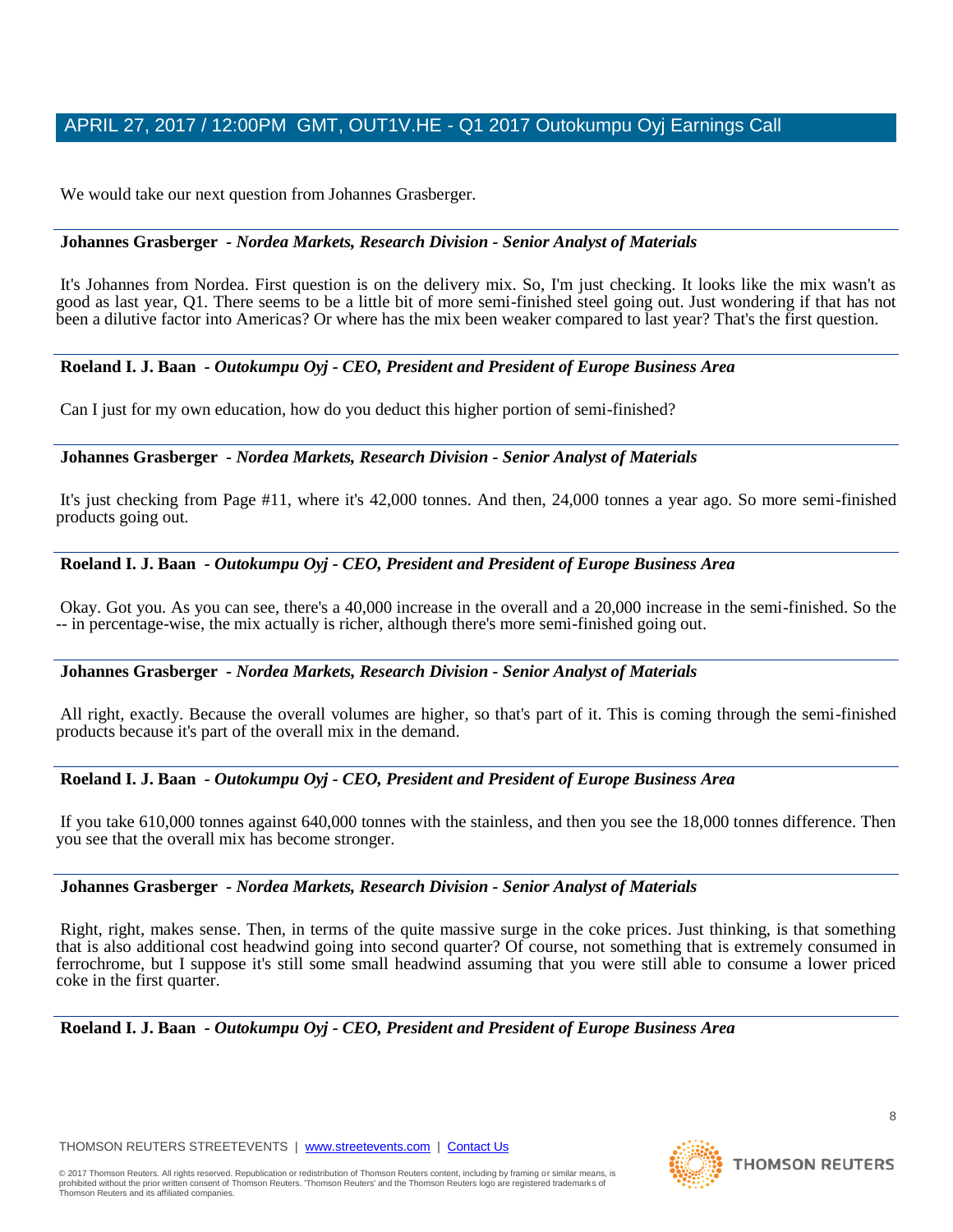We would take our next question from Johannes Grasberger.

#### **Johannes Grasberger** *- Nordea Markets, Research Division - Senior Analyst of Materials*

It's Johannes from Nordea. First question is on the delivery mix. So, I'm just checking. It looks like the mix wasn't as good as last year, Q1. There seems to be a little bit of more semi-finished steel going out. Just wondering if that has not been a dilutive factor into Americas? Or where has the mix been weaker compared to last year? That's the first question.

#### **Roeland I. J. Baan** *- Outokumpu Oyj - CEO, President and President of Europe Business Area*

Can I just for my own education, how do you deduct this higher portion of semi-finished?

#### **Johannes Grasberger** *- Nordea Markets, Research Division - Senior Analyst of Materials*

It's just checking from Page #11, where it's 42,000 tonnes. And then, 24,000 tonnes a year ago. So more semi-finished products going out.

#### **Roeland I. J. Baan** *- Outokumpu Oyj - CEO, President and President of Europe Business Area*

Okay. Got you. As you can see, there's a 40,000 increase in the overall and a 20,000 increase in the semi-finished. So the -- in percentage-wise, the mix actually is richer, although there's more semi-finished going out.

#### **Johannes Grasberger** *- Nordea Markets, Research Division - Senior Analyst of Materials*

All right, exactly. Because the overall volumes are higher, so that's part of it. This is coming through the semi-finished products because it's part of the overall mix in the demand.

#### **Roeland I. J. Baan** *- Outokumpu Oyj - CEO, President and President of Europe Business Area*

If you take 610,000 tonnes against 640,000 tonnes with the stainless, and then you see the 18,000 tonnes difference. Then you see that the overall mix has become stronger.

#### **Johannes Grasberger** *- Nordea Markets, Research Division - Senior Analyst of Materials*

Right, right, makes sense. Then, in terms of the quite massive surge in the coke prices. Just thinking, is that something that is also additional cost headwind going into second quarter? Of course, not something that is extremely consumed in ferrochrome, but I suppose it's still some small headwind assuming that you were still able to consume a lower priced coke in the first quarter.

**Roeland I. J. Baan** *- Outokumpu Oyj - CEO, President and President of Europe Business Area* 

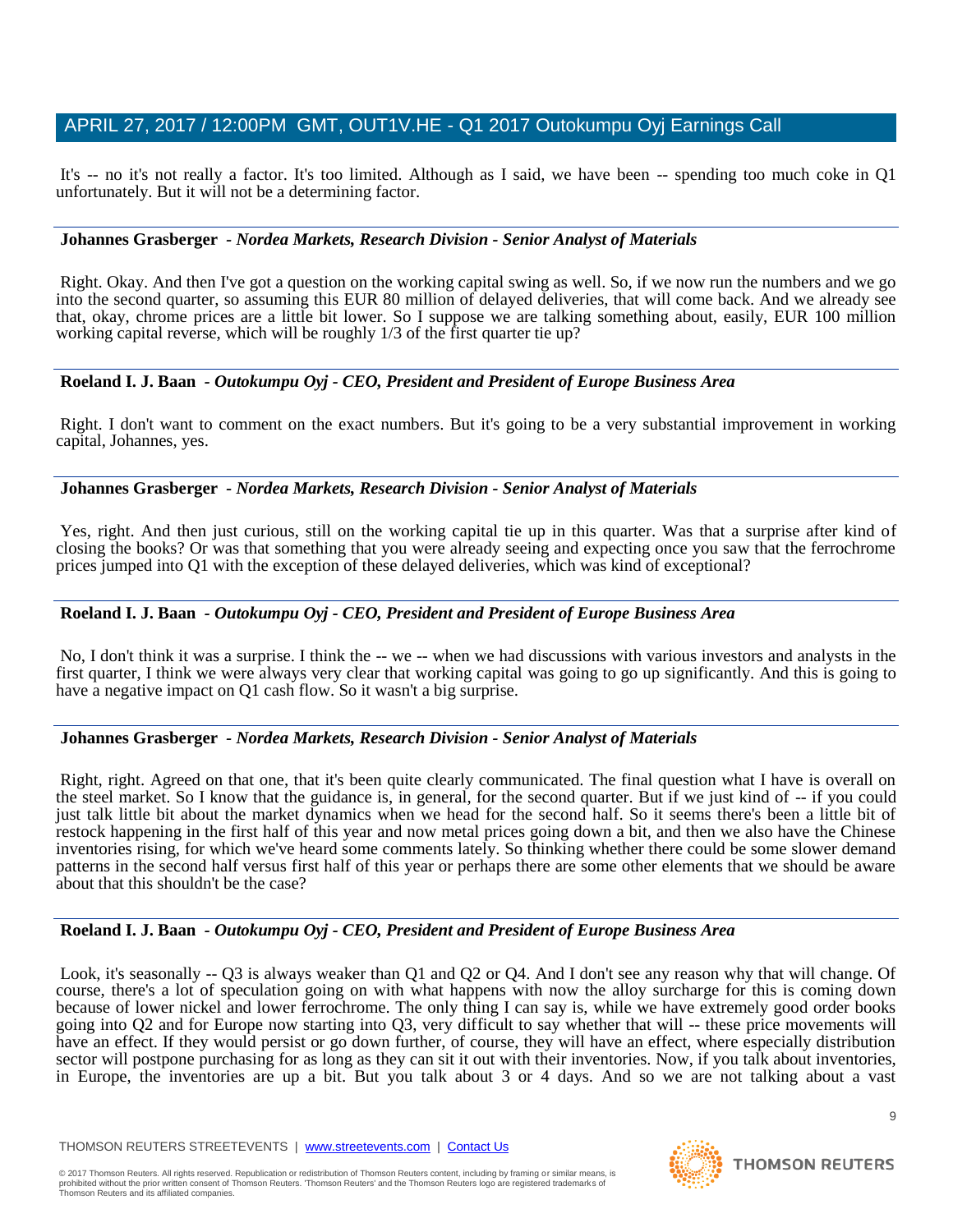It's -- no it's not really a factor. It's too limited. Although as I said, we have been -- spending too much coke in Q1 unfortunately. But it will not be a determining factor.

## **Johannes Grasberger** *- Nordea Markets, Research Division - Senior Analyst of Materials*

Right. Okay. And then I've got a question on the working capital swing as well. So, if we now run the numbers and we go into the second quarter, so assuming this EUR 80 million of delayed deliveries, that will come back. And we already see that, okay, chrome prices are a little bit lower. So I suppose we are talking something about, easily, EUR 100 million working capital reverse, which will be roughly 1/3 of the first quarter tie up?

## **Roeland I. J. Baan** *- Outokumpu Oyj - CEO, President and President of Europe Business Area*

Right. I don't want to comment on the exact numbers. But it's going to be a very substantial improvement in working capital, Johannes, yes.

#### **Johannes Grasberger** *- Nordea Markets, Research Division - Senior Analyst of Materials*

Yes, right. And then just curious, still on the working capital tie up in this quarter. Was that a surprise after kind of closing the books? Or was that something that you were already seeing and expecting once you saw that the ferrochrome prices jumped into Q1 with the exception of these delayed deliveries, which was kind of exceptional?

## **Roeland I. J. Baan** *- Outokumpu Oyj - CEO, President and President of Europe Business Area*

No, I don't think it was a surprise. I think the -- we -- when we had discussions with various investors and analysts in the first quarter, I think we were always very clear that working capital was going to go up significantly. And this is going to have a negative impact on Q1 cash flow. So it wasn't a big surprise.

#### **Johannes Grasberger** *- Nordea Markets, Research Division - Senior Analyst of Materials*

Right, right. Agreed on that one, that it's been quite clearly communicated. The final question what I have is overall on the steel market. So I know that the guidance is, in general, for the second quarter. But if we just kind of -- if you could just talk little bit about the market dynamics when we head for the second half. So it seems there's been a little bit of restock happening in the first half of this year and now metal prices going down a bit, and then we also have the Chinese inventories rising, for which we've heard some comments lately. So thinking whether there could be some slower demand patterns in the second half versus first half of this year or perhaps there are some other elements that we should be aware about that this shouldn't be the case?

#### **Roeland I. J. Baan** *- Outokumpu Oyj - CEO, President and President of Europe Business Area*

Look, it's seasonally -- Q3 is always weaker than Q1 and Q2 or Q4. And I don't see any reason why that will change. Of course, there's a lot of speculation going on with what happens with now the alloy surcharge for this is coming down because of lower nickel and lower ferrochrome. The only thing I can say is, while we have extremely good order books going into Q2 and for Europe now starting into Q3, very difficult to say whether that will -- these price movements will have an effect. If they would persist or go down further, of course, they will have an effect, where especially distribution sector will postpone purchasing for as long as they can sit it out with their inventories. Now, if you talk about inventories, in Europe, the inventories are up a bit. But you talk about 3 or 4 days. And so we are not talking about a vast

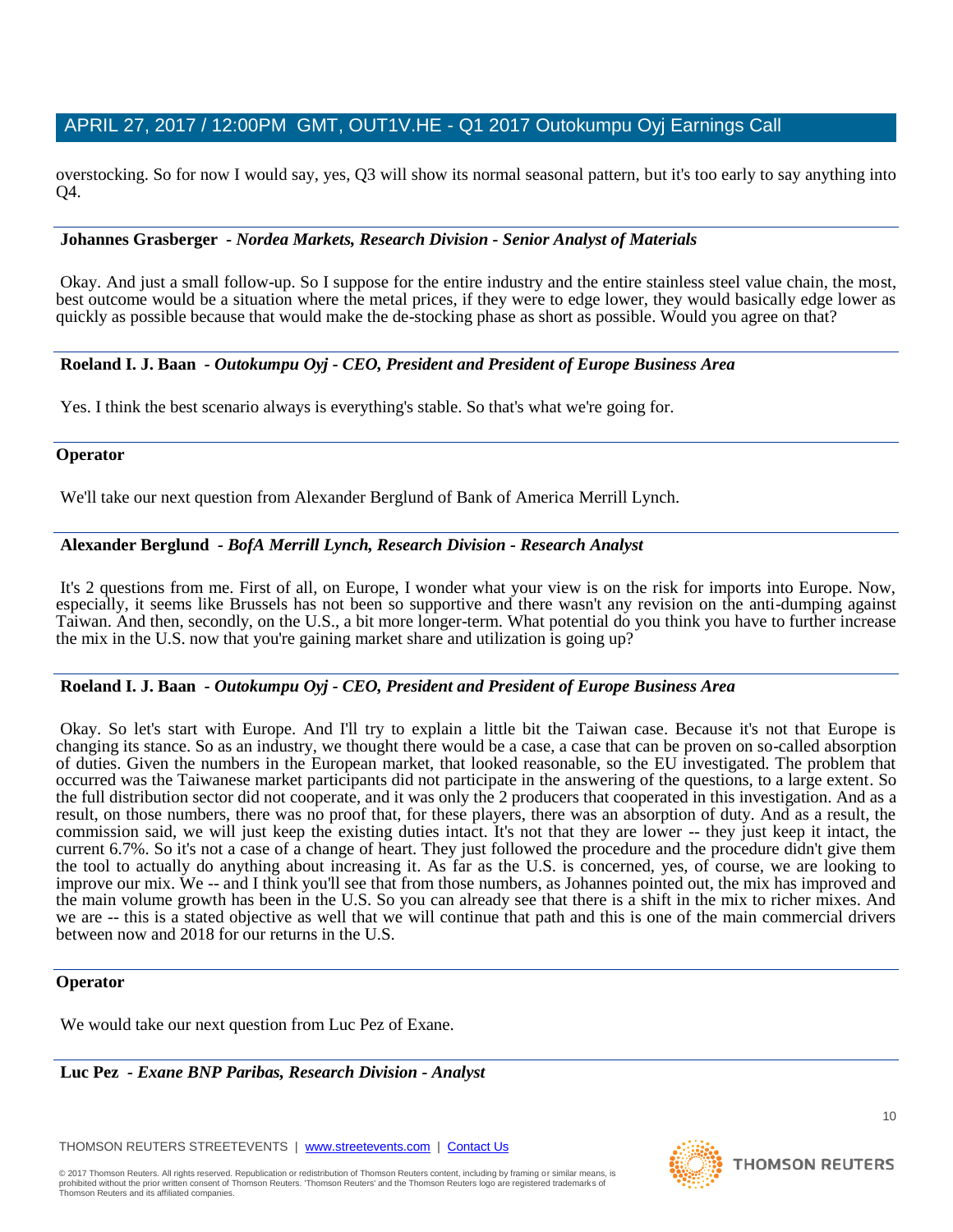overstocking. So for now I would say, yes, Q3 will show its normal seasonal pattern, but it's too early to say anything into Q4.

#### **Johannes Grasberger** *- Nordea Markets, Research Division - Senior Analyst of Materials*

Okay. And just a small follow-up. So I suppose for the entire industry and the entire stainless steel value chain, the most, best outcome would be a situation where the metal prices, if they were to edge lower, they would basically edge lower as quickly as possible because that would make the de-stocking phase as short as possible. Would you agree on that?

#### **Roeland I. J. Baan** *- Outokumpu Oyj - CEO, President and President of Europe Business Area*

Yes. I think the best scenario always is everything's stable. So that's what we're going for.

#### **Operator**

We'll take our next question from Alexander Berglund of Bank of America Merrill Lynch.

#### **Alexander Berglund** *- BofA Merrill Lynch, Research Division - Research Analyst*

It's 2 questions from me. First of all, on Europe, I wonder what your view is on the risk for imports into Europe. Now, especially, it seems like Brussels has not been so supportive and there wasn't any revision on the anti-dumping against Taiwan. And then, secondly, on the U.S., a bit more longer-term. What potential do you think you have to further increase the mix in the U.S. now that you're gaining market share and utilization is going up?

#### **Roeland I. J. Baan** *- Outokumpu Oyj - CEO, President and President of Europe Business Area*

Okay. So let's start with Europe. And I'll try to explain a little bit the Taiwan case. Because it's not that Europe is changing its stance. So as an industry, we thought there would be a case, a case that can be proven on so-called absorption of duties. Given the numbers in the European market, that looked reasonable, so the EU investigated. The problem that occurred was the Taiwanese market participants did not participate in the answering of the questions, to a large extent. So the full distribution sector did not cooperate, and it was only the 2 producers that cooperated in this investigation. And as a result, on those numbers, there was no proof that, for these players, there was an absorption of duty. And as a result, the commission said, we will just keep the existing duties intact. It's not that they are lower -- they just keep it intact, the current 6.7%. So it's not a case of a change of heart. They just followed the procedure and the procedure didn't give them the tool to actually do anything about increasing it. As far as the U.S. is concerned, yes, of course, we are looking to improve our mix. We -- and I think you'll see that from those numbers, as Johannes pointed out, the mix has improved and the main volume growth has been in the U.S. So you can already see that there is a shift in the mix to richer mixes. And we are -- this is a stated objective as well that we will continue that path and this is one of the main commercial drivers between now and 2018 for our returns in the U.S.

#### **Operator**

We would take our next question from Luc Pez of Exane.

**Luc Pez** *- Exane BNP Paribas, Research Division - Analyst* 

THOMSON REUTERS STREETEVENTS | [www.streetevents.com](http://www.streetevents.com/) | [Contact Us](http://www010.streetevents.com/contact.asp)

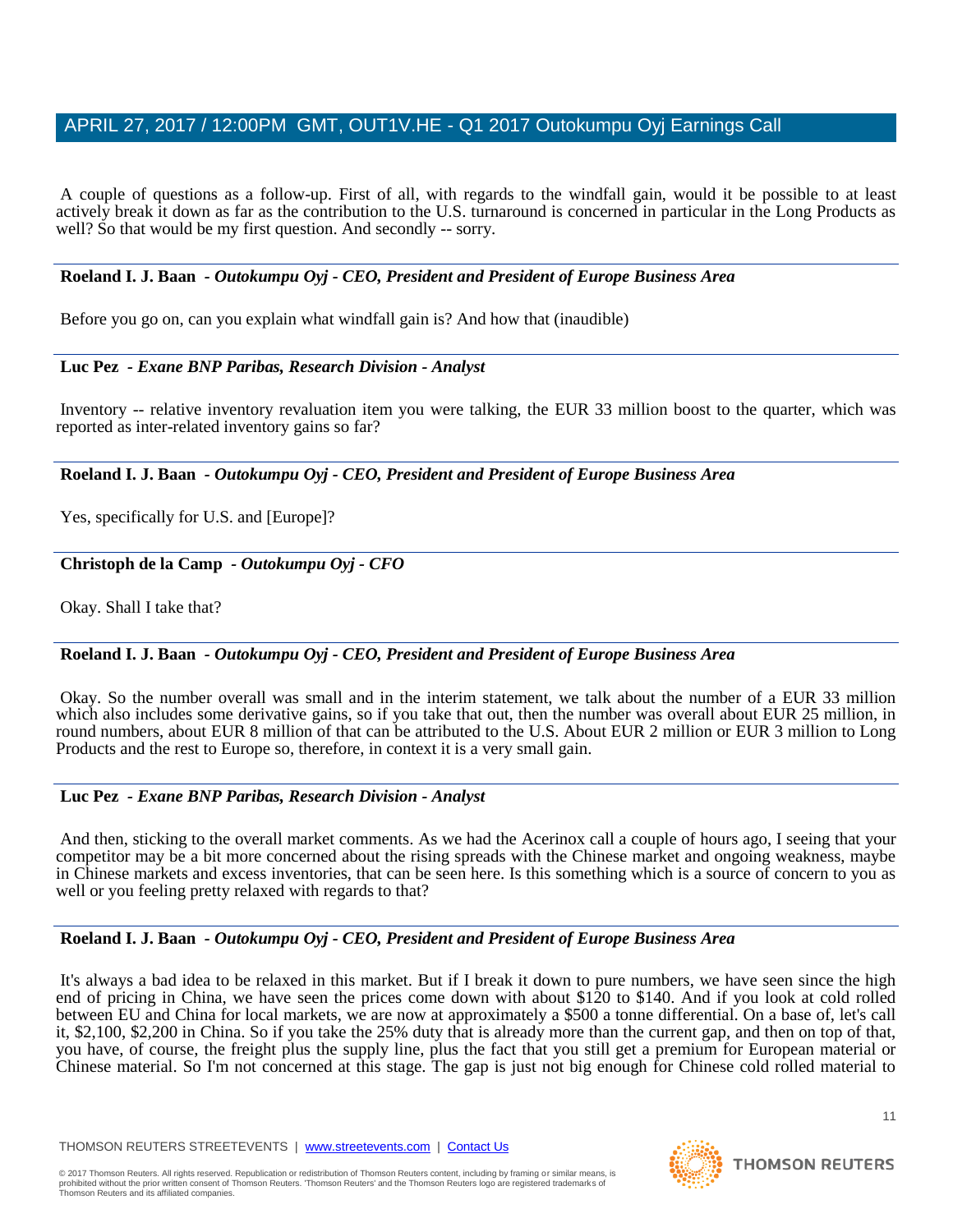A couple of questions as a follow-up. First of all, with regards to the windfall gain, would it be possible to at least actively break it down as far as the contribution to the U.S. turnaround is concerned in particular in the Long Products as well? So that would be my first question. And secondly -- sorry.

#### **Roeland I. J. Baan** *- Outokumpu Oyj - CEO, President and President of Europe Business Area*

Before you go on, can you explain what windfall gain is? And how that (inaudible)

#### **Luc Pez** *- Exane BNP Paribas, Research Division - Analyst*

Inventory -- relative inventory revaluation item you were talking, the EUR 33 million boost to the quarter, which was reported as inter-related inventory gains so far?

#### **Roeland I. J. Baan** *- Outokumpu Oyj - CEO, President and President of Europe Business Area*

Yes, specifically for U.S. and [Europe]?

# **Christoph de la Camp** *- Outokumpu Oyj - CFO*

Okay. Shall I take that?

# **Roeland I. J. Baan** *- Outokumpu Oyj - CEO, President and President of Europe Business Area*

Okay. So the number overall was small and in the interim statement, we talk about the number of a EUR 33 million which also includes some derivative gains, so if you take that out, then the number was overall about EUR 25 million, in round numbers, about EUR 8 million of that can be attributed to the U.S. About EUR 2 million or EUR 3 million to Long Products and the rest to Europe so, therefore, in context it is a very small gain.

#### **Luc Pez** *- Exane BNP Paribas, Research Division - Analyst*

And then, sticking to the overall market comments. As we had the Acerinox call a couple of hours ago, I seeing that your competitor may be a bit more concerned about the rising spreads with the Chinese market and ongoing weakness, maybe in Chinese markets and excess inventories, that can be seen here. Is this something which is a source of concern to you as well or you feeling pretty relaxed with regards to that?

#### **Roeland I. J. Baan** *- Outokumpu Oyj - CEO, President and President of Europe Business Area*

It's always a bad idea to be relaxed in this market. But if I break it down to pure numbers, we have seen since the high end of pricing in China, we have seen the prices come down with about \$120 to \$140. And if you look at cold rolled between EU and China for local markets, we are now at approximately a \$500 a tonne differential. On a base of, let's call it, \$2,100, \$2,200 in China. So if you take the 25% duty that is already more than the current gap, and then on top of that, you have, of course, the freight plus the supply line, plus the fact that you still get a premium for European material or Chinese material. So I'm not concerned at this stage. The gap is just not big enough for Chinese cold rolled material to

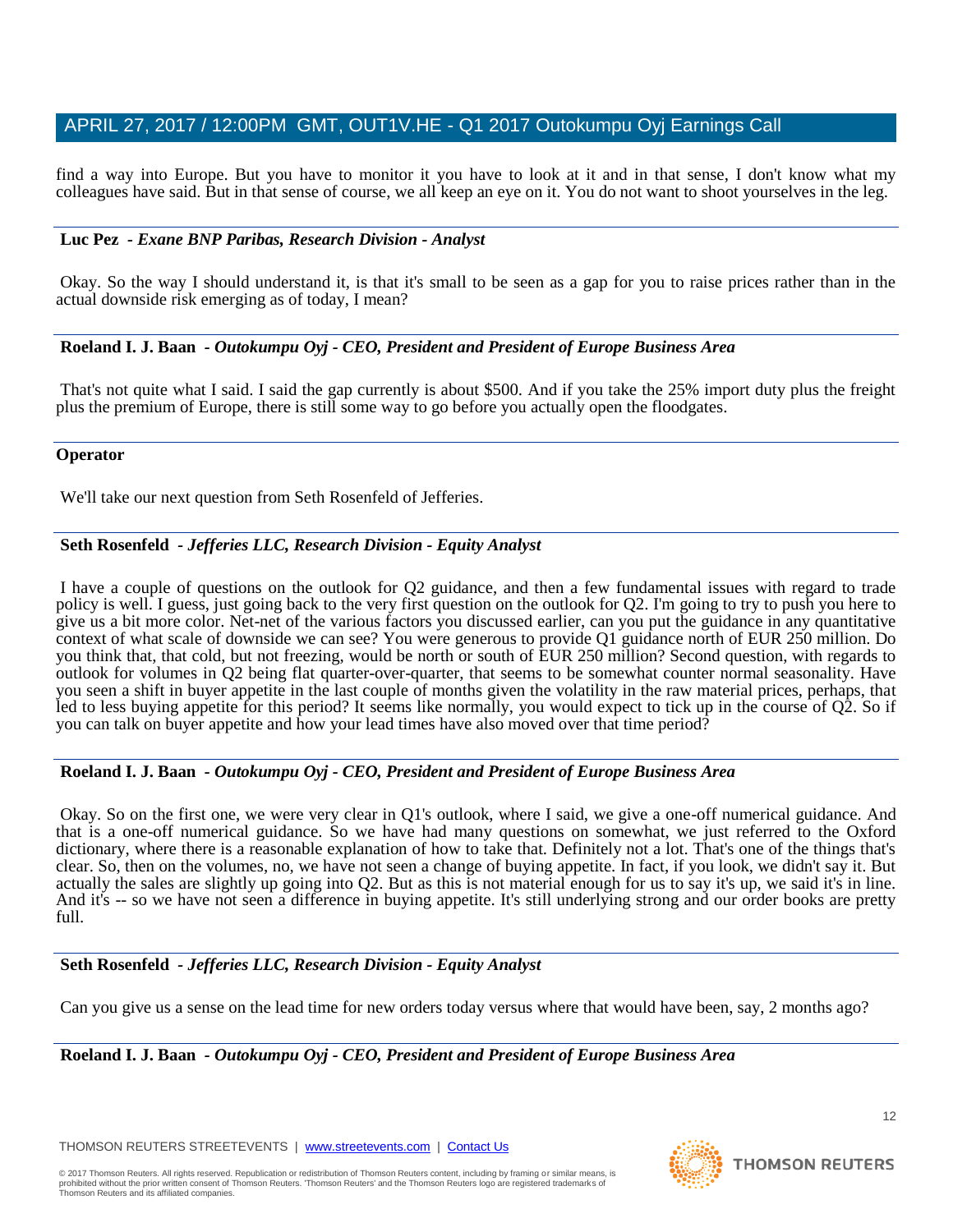find a way into Europe. But you have to monitor it you have to look at it and in that sense, I don't know what my colleagues have said. But in that sense of course, we all keep an eye on it. You do not want to shoot yourselves in the leg.

## **Luc Pez** *- Exane BNP Paribas, Research Division - Analyst*

Okay. So the way I should understand it, is that it's small to be seen as a gap for you to raise prices rather than in the actual downside risk emerging as of today, I mean?

## **Roeland I. J. Baan** *- Outokumpu Oyj - CEO, President and President of Europe Business Area*

That's not quite what I said. I said the gap currently is about \$500. And if you take the 25% import duty plus the freight plus the premium of Europe, there is still some way to go before you actually open the floodgates.

## **Operator**

We'll take our next question from Seth Rosenfeld of Jefferies.

## **Seth Rosenfeld** *- Jefferies LLC, Research Division - Equity Analyst*

I have a couple of questions on the outlook for Q2 guidance, and then a few fundamental issues with regard to trade policy is well. I guess, just going back to the very first question on the outlook for Q2. I'm going to try to push you here to give us a bit more color. Net-net of the various factors you discussed earlier, can you put the guidance in any quantitative context of what scale of downside we can see? You were generous to provide Q1 guidance north of EUR 250 million. Do you think that, that cold, but not freezing, would be north or south of EUR 250 million? Second question, with regards to outlook for volumes in Q2 being flat quarter-over-quarter, that seems to be somewhat counter normal seasonality. Have you seen a shift in buyer appetite in the last couple of months given the volatility in the raw material prices, perhaps, that led to less buying appetite for this period? It seems like normally, you would expect to tick up in the course of Q2. So if you can talk on buyer appetite and how your lead times have also moved over that time period?

#### **Roeland I. J. Baan** *- Outokumpu Oyj - CEO, President and President of Europe Business Area*

Okay. So on the first one, we were very clear in Q1's outlook, where I said, we give a one-off numerical guidance. And that is a one-off numerical guidance. So we have had many questions on somewhat, we just referred to the Oxford dictionary, where there is a reasonable explanation of how to take that. Definitely not a lot. That's one of the things that's clear. So, then on the volumes, no, we have not seen a change of buying appetite. In fact, if you look, we didn't say it. But actually the sales are slightly up going into Q2. But as this is not material enough for us to say it's up, we said it's in line. And it's -- so we have not seen a difference in buying appetite. It's still underlying strong and our order books are pretty full.

#### **Seth Rosenfeld** *- Jefferies LLC, Research Division - Equity Analyst*

Can you give us a sense on the lead time for new orders today versus where that would have been, say, 2 months ago?

**Roeland I. J. Baan** *- Outokumpu Oyj - CEO, President and President of Europe Business Area* 

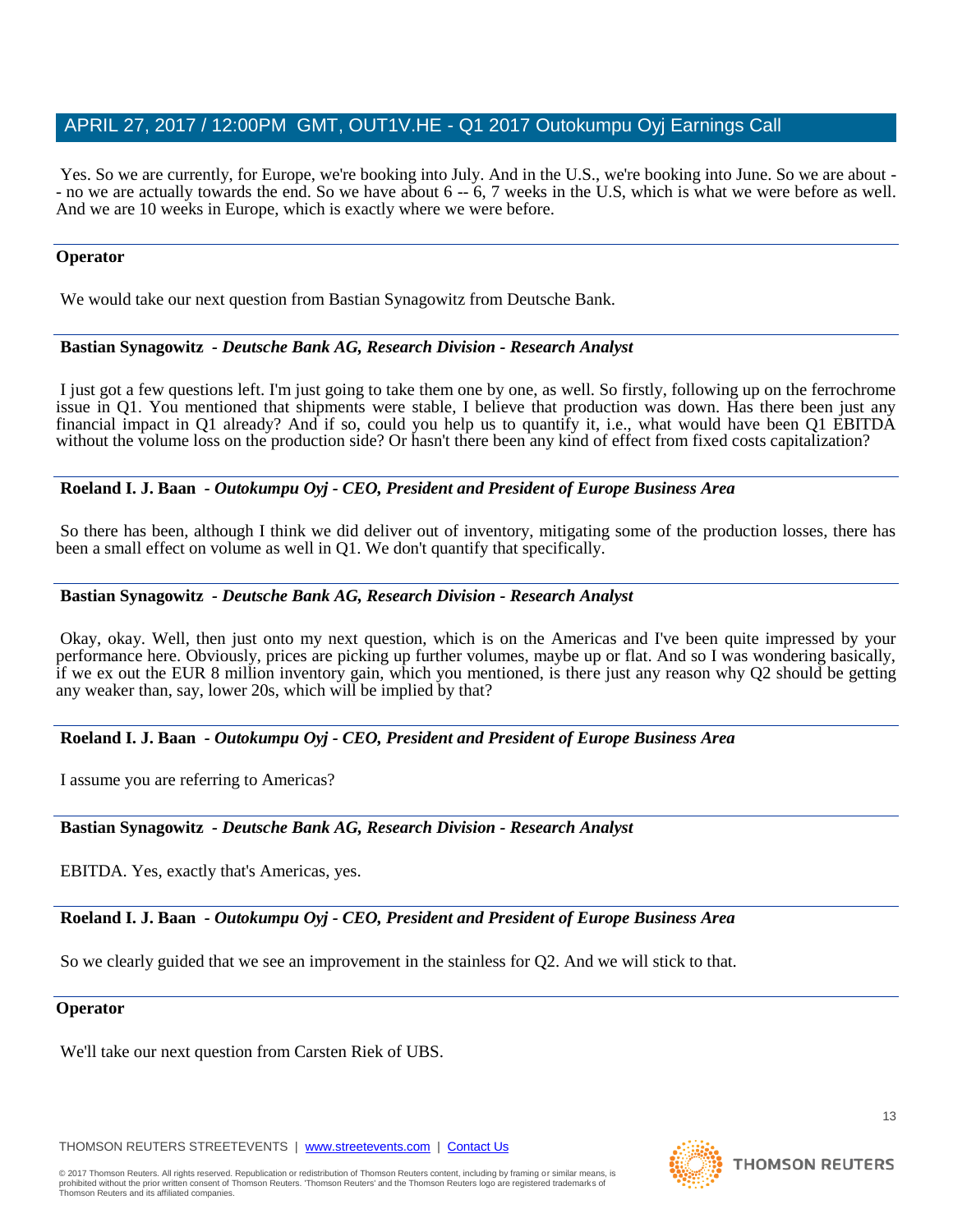Yes. So we are currently, for Europe, we're booking into July. And in the U.S., we're booking into June. So we are about - - no we are actually towards the end. So we have about 6 -- 6, 7 weeks in the U.S, which is what we were before as well. And we are 10 weeks in Europe, which is exactly where we were before.

#### **Operator**

We would take our next question from Bastian Synagowitz from Deutsche Bank.

#### **Bastian Synagowitz** *- Deutsche Bank AG, Research Division - Research Analyst*

I just got a few questions left. I'm just going to take them one by one, as well. So firstly, following up on the ferrochrome issue in Q1. You mentioned that shipments were stable, I believe that production was down. Has there been just any financial impact in Q1 already? And if so, could you help us to quantify it, i.e., what would have been Q1 EBITDA without the volume loss on the production side? Or hasn't there been any kind of effect from fixed costs capitalization?

#### **Roeland I. J. Baan** *- Outokumpu Oyj - CEO, President and President of Europe Business Area*

So there has been, although I think we did deliver out of inventory, mitigating some of the production losses, there has been a small effect on volume as well in Q1. We don't quantify that specifically.

#### **Bastian Synagowitz** *- Deutsche Bank AG, Research Division - Research Analyst*

Okay, okay. Well, then just onto my next question, which is on the Americas and I've been quite impressed by your performance here. Obviously, prices are picking up further volumes, maybe up or flat. And so I was wondering basically, if we ex out the EUR 8 million inventory gain, which you mentioned, is there just any reason why Q2 should be getting any weaker than, say, lower 20s, which will be implied by that?

#### **Roeland I. J. Baan** *- Outokumpu Oyj - CEO, President and President of Europe Business Area*

I assume you are referring to Americas?

#### **Bastian Synagowitz** *- Deutsche Bank AG, Research Division - Research Analyst*

EBITDA. Yes, exactly that's Americas, yes.

**Roeland I. J. Baan** *- Outokumpu Oyj - CEO, President and President of Europe Business Area* 

So we clearly guided that we see an improvement in the stainless for Q2. And we will stick to that.

#### **Operator**

We'll take our next question from Carsten Riek of UBS.

THOMSON REUTERS STREETEVENTS | [www.streetevents.com](http://www.streetevents.com/) | [Contact Us](http://www010.streetevents.com/contact.asp)

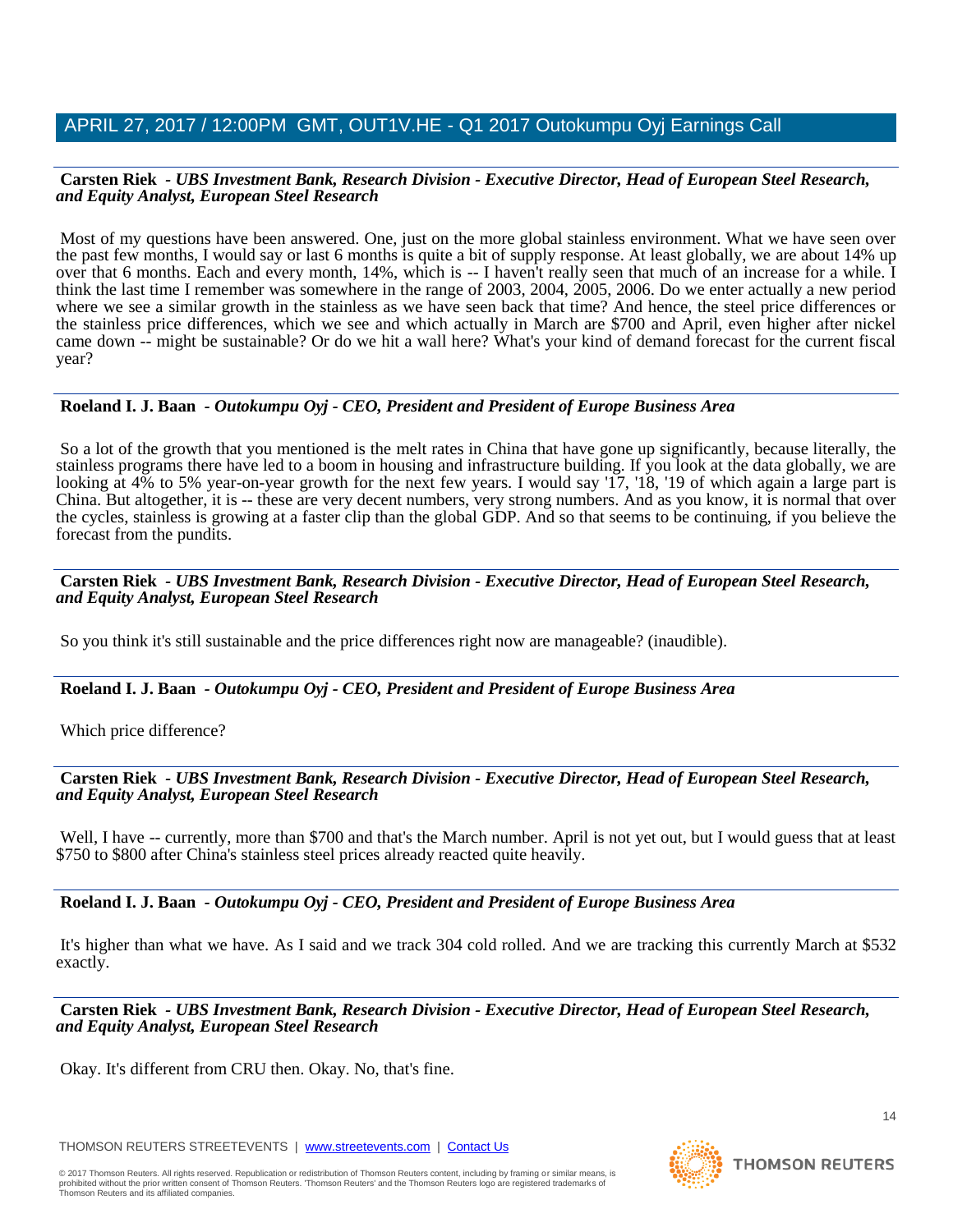#### **Carsten Riek** *- UBS Investment Bank, Research Division - Executive Director, Head of European Steel Research, and Equity Analyst, European Steel Research*

Most of my questions have been answered. One, just on the more global stainless environment. What we have seen over the past few months, I would say or last 6 months is quite a bit of supply response. At least globally, we are about 14% up over that 6 months. Each and every month, 14%, which is -- I haven't really seen that much of an increase for a while. I think the last time I remember was somewhere in the range of 2003, 2004, 2005, 2006. Do we enter actually a new period where we see a similar growth in the stainless as we have seen back that time? And hence, the steel price differences or the stainless price differences, which we see and which actually in March are \$700 and April, even higher after nickel came down -- might be sustainable? Or do we hit a wall here? What's your kind of demand forecast for the current fiscal year?

## **Roeland I. J. Baan** *- Outokumpu Oyj - CEO, President and President of Europe Business Area*

So a lot of the growth that you mentioned is the melt rates in China that have gone up significantly, because literally, the stainless programs there have led to a boom in housing and infrastructure building. If you look at the data globally, we are looking at 4% to 5% year-on-year growth for the next few years. I would say '17, '18, '19 of which again a large part is China. But altogether, it is -- these are very decent numbers, very strong numbers. And as you know, it is normal that over the cycles, stainless is growing at a faster clip than the global GDP. And so that seems to be continuing, if you believe the forecast from the pundits.

#### **Carsten Riek** *- UBS Investment Bank, Research Division - Executive Director, Head of European Steel Research, and Equity Analyst, European Steel Research*

So you think it's still sustainable and the price differences right now are manageable? (inaudible).

# **Roeland I. J. Baan** *- Outokumpu Oyj - CEO, President and President of Europe Business Area*

Which price difference?

#### **Carsten Riek** *- UBS Investment Bank, Research Division - Executive Director, Head of European Steel Research, and Equity Analyst, European Steel Research*

Well, I have -- currently, more than \$700 and that's the March number. April is not yet out, but I would guess that at least \$750 to \$800 after China's stainless steel prices already reacted quite heavily.

# **Roeland I. J. Baan** *- Outokumpu Oyj - CEO, President and President of Europe Business Area*

It's higher than what we have. As I said and we track 304 cold rolled. And we are tracking this currently March at \$532 exactly.

#### **Carsten Riek** *- UBS Investment Bank, Research Division - Executive Director, Head of European Steel Research, and Equity Analyst, European Steel Research*

Okay. It's different from CRU then. Okay. No, that's fine.

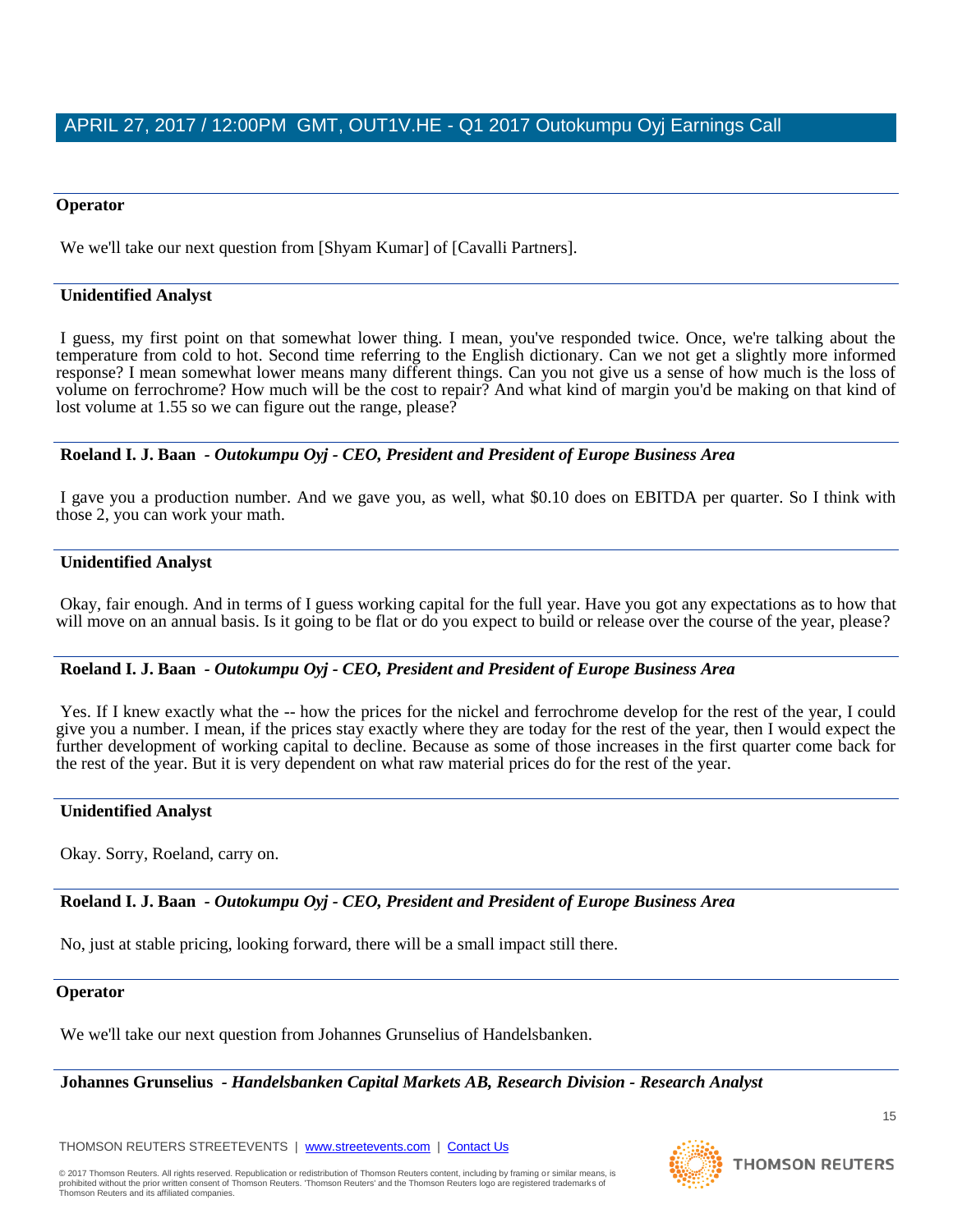#### **Operator**

We we'll take our next question from [Shyam Kumar] of [Cavalli Partners].

#### **Unidentified Analyst**

I guess, my first point on that somewhat lower thing. I mean, you've responded twice. Once, we're talking about the temperature from cold to hot. Second time referring to the English dictionary. Can we not get a slightly more informed response? I mean somewhat lower means many different things. Can you not give us a sense of how much is the loss of volume on ferrochrome? How much will be the cost to repair? And what kind of margin you'd be making on that kind of lost volume at 1.55 so we can figure out the range, please?

**Roeland I. J. Baan** *- Outokumpu Oyj - CEO, President and President of Europe Business Area* 

I gave you a production number. And we gave you, as well, what \$0.10 does on EBITDA per quarter. So I think with those 2, you can work your math.

#### **Unidentified Analyst**

Okay, fair enough. And in terms of I guess working capital for the full year. Have you got any expectations as to how that will move on an annual basis. Is it going to be flat or do you expect to build or release over the course of the year, please?

#### **Roeland I. J. Baan** *- Outokumpu Oyj - CEO, President and President of Europe Business Area*

Yes. If I knew exactly what the -- how the prices for the nickel and ferrochrome develop for the rest of the year, I could give you a number. I mean, if the prices stay exactly where they are today for the rest of the year, then I would expect the further development of working capital to decline. Because as some of those increases in the first quarter come back for the rest of the year. But it is very dependent on what raw material prices do for the rest of the year.

#### **Unidentified Analyst**

Okay. Sorry, Roeland, carry on.

**Roeland I. J. Baan** *- Outokumpu Oyj - CEO, President and President of Europe Business Area* 

No, just at stable pricing, looking forward, there will be a small impact still there.

#### **Operator**

We we'll take our next question from Johannes Grunselius of Handelsbanken.

**Johannes Grunselius** *- Handelsbanken Capital Markets AB, Research Division - Research Analyst* 

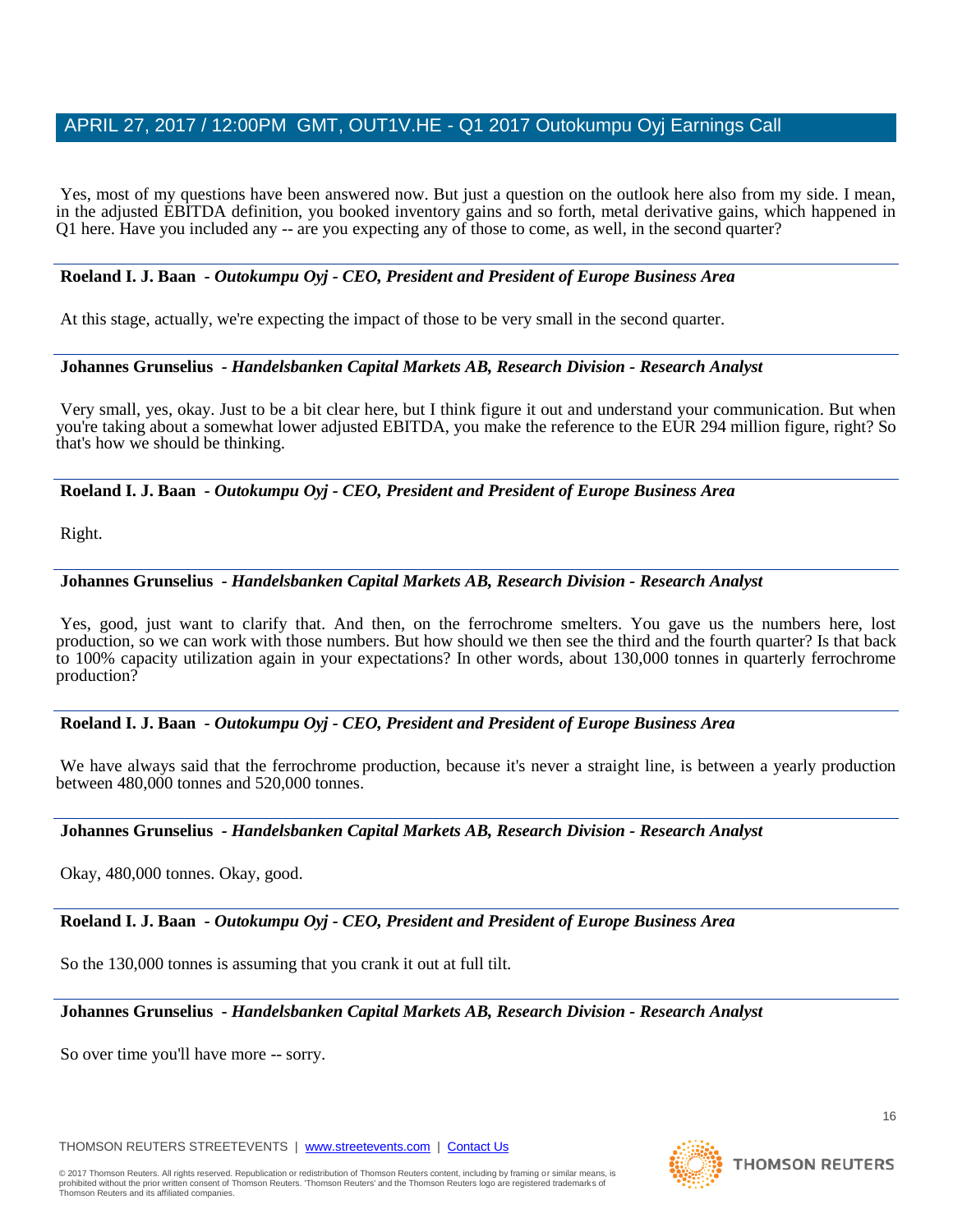Yes, most of my questions have been answered now. But just a question on the outlook here also from my side. I mean, in the adjusted EBITDA definition, you booked inventory gains and so forth, metal derivative gains, which happened in Q1 here. Have you included any -- are you expecting any of those to come, as well, in the second quarter?

#### **Roeland I. J. Baan** *- Outokumpu Oyj - CEO, President and President of Europe Business Area*

At this stage, actually, we're expecting the impact of those to be very small in the second quarter.

## **Johannes Grunselius** *- Handelsbanken Capital Markets AB, Research Division - Research Analyst*

Very small, yes, okay. Just to be a bit clear here, but I think figure it out and understand your communication. But when you're taking about a somewhat lower adjusted EBITDA, you make the reference to the EUR 294 million figure, right? So that's how we should be thinking.

**Roeland I. J. Baan** *- Outokumpu Oyj - CEO, President and President of Europe Business Area* 

Right.

# **Johannes Grunselius** *- Handelsbanken Capital Markets AB, Research Division - Research Analyst*

Yes, good, just want to clarify that. And then, on the ferrochrome smelters. You gave us the numbers here, lost production, so we can work with those numbers. But how should we then see the third and the fourth quarter? Is that back to 100% capacity utilization again in your expectations? In other words, about 130,000 tonnes in quarterly ferrochrome production?

# **Roeland I. J. Baan** *- Outokumpu Oyj - CEO, President and President of Europe Business Area*

We have always said that the ferrochrome production, because it's never a straight line, is between a yearly production between 480,000 tonnes and 520,000 tonnes.

**Johannes Grunselius** *- Handelsbanken Capital Markets AB, Research Division - Research Analyst* 

Okay, 480,000 tonnes. Okay, good.

**Roeland I. J. Baan** *- Outokumpu Oyj - CEO, President and President of Europe Business Area* 

So the 130,000 tonnes is assuming that you crank it out at full tilt.

**Johannes Grunselius** *- Handelsbanken Capital Markets AB, Research Division - Research Analyst* 

So over time you'll have more -- sorry.

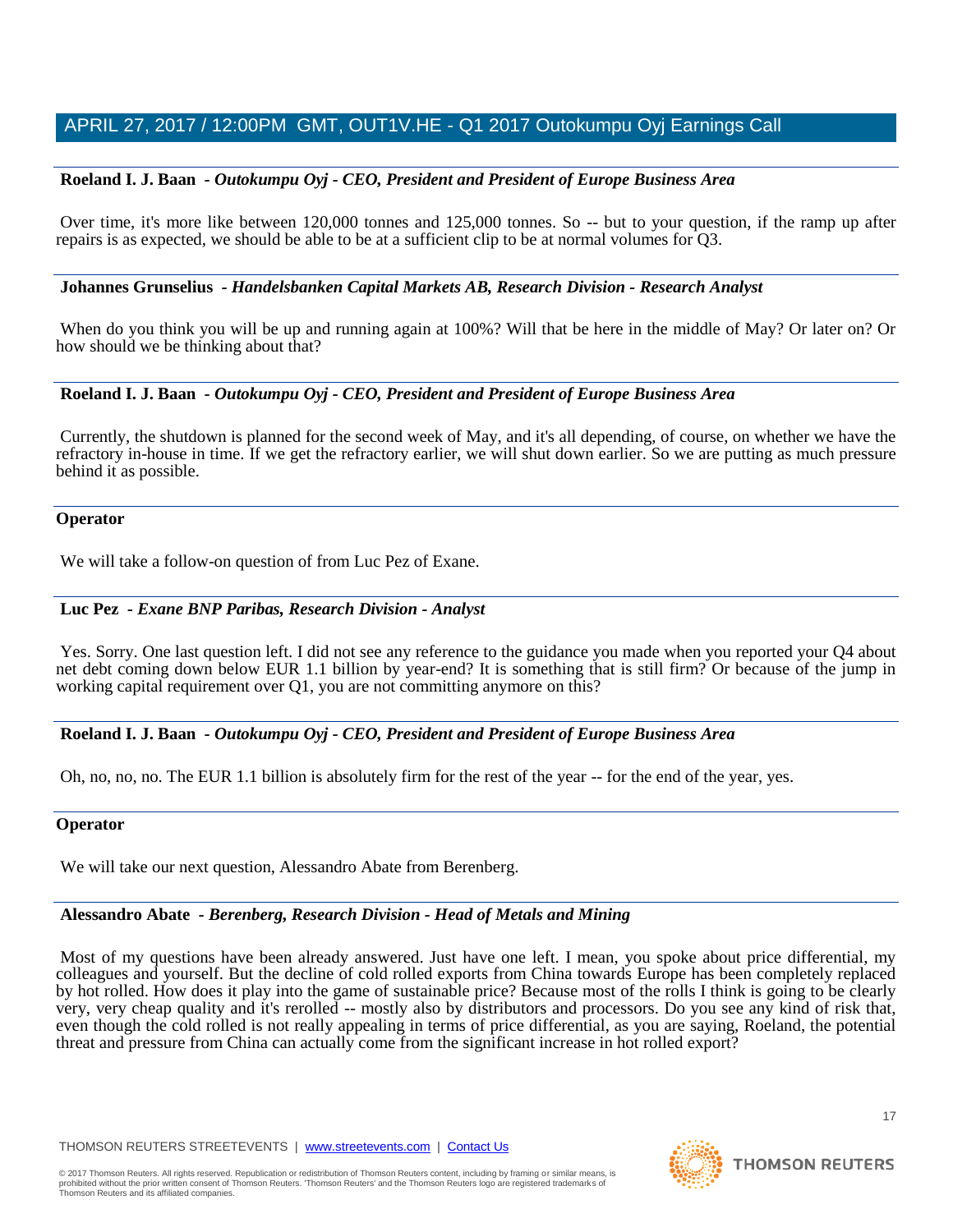## **Roeland I. J. Baan** *- Outokumpu Oyj - CEO, President and President of Europe Business Area*

Over time, it's more like between 120,000 tonnes and 125,000 tonnes. So -- but to your question, if the ramp up after repairs is as expected, we should be able to be at a sufficient clip to be at normal volumes for Q3.

#### **Johannes Grunselius** *- Handelsbanken Capital Markets AB, Research Division - Research Analyst*

When do you think you will be up and running again at 100%? Will that be here in the middle of May? Or later on? Or how should we be thinking about that?

## **Roeland I. J. Baan** *- Outokumpu Oyj - CEO, President and President of Europe Business Area*

Currently, the shutdown is planned for the second week of May, and it's all depending, of course, on whether we have the refractory in-house in time. If we get the refractory earlier, we will shut down earlier. So we are putting as much pressure behind it as possible.

#### **Operator**

We will take a follow-on question of from Luc Pez of Exane.

#### **Luc Pez** *- Exane BNP Paribas, Research Division - Analyst*

Yes. Sorry. One last question left. I did not see any reference to the guidance you made when you reported your Q4 about net debt coming down below EUR 1.1 billion by year-end? It is something that is still firm? Or because of the jump in working capital requirement over Q1, you are not committing anymore on this?

#### **Roeland I. J. Baan** *- Outokumpu Oyj - CEO, President and President of Europe Business Area*

Oh, no, no, no. The EUR 1.1 billion is absolutely firm for the rest of the year -- for the end of the year, yes.

#### **Operator**

We will take our next question, Alessandro Abate from Berenberg.

# **Alessandro Abate** *- Berenberg, Research Division - Head of Metals and Mining*

Most of my questions have been already answered. Just have one left. I mean, you spoke about price differential, my colleagues and yourself. But the decline of cold rolled exports from China towards Europe has been completely replaced by hot rolled. How does it play into the game of sustainable price? Because most of the rolls I think is going to be clearly very, very cheap quality and it's rerolled -- mostly also by distributors and processors. Do you see any kind of risk that, even though the cold rolled is not really appealing in terms of price differential, as you are saying, Roeland, the potential threat and pressure from China can actually come from the significant increase in hot rolled export?

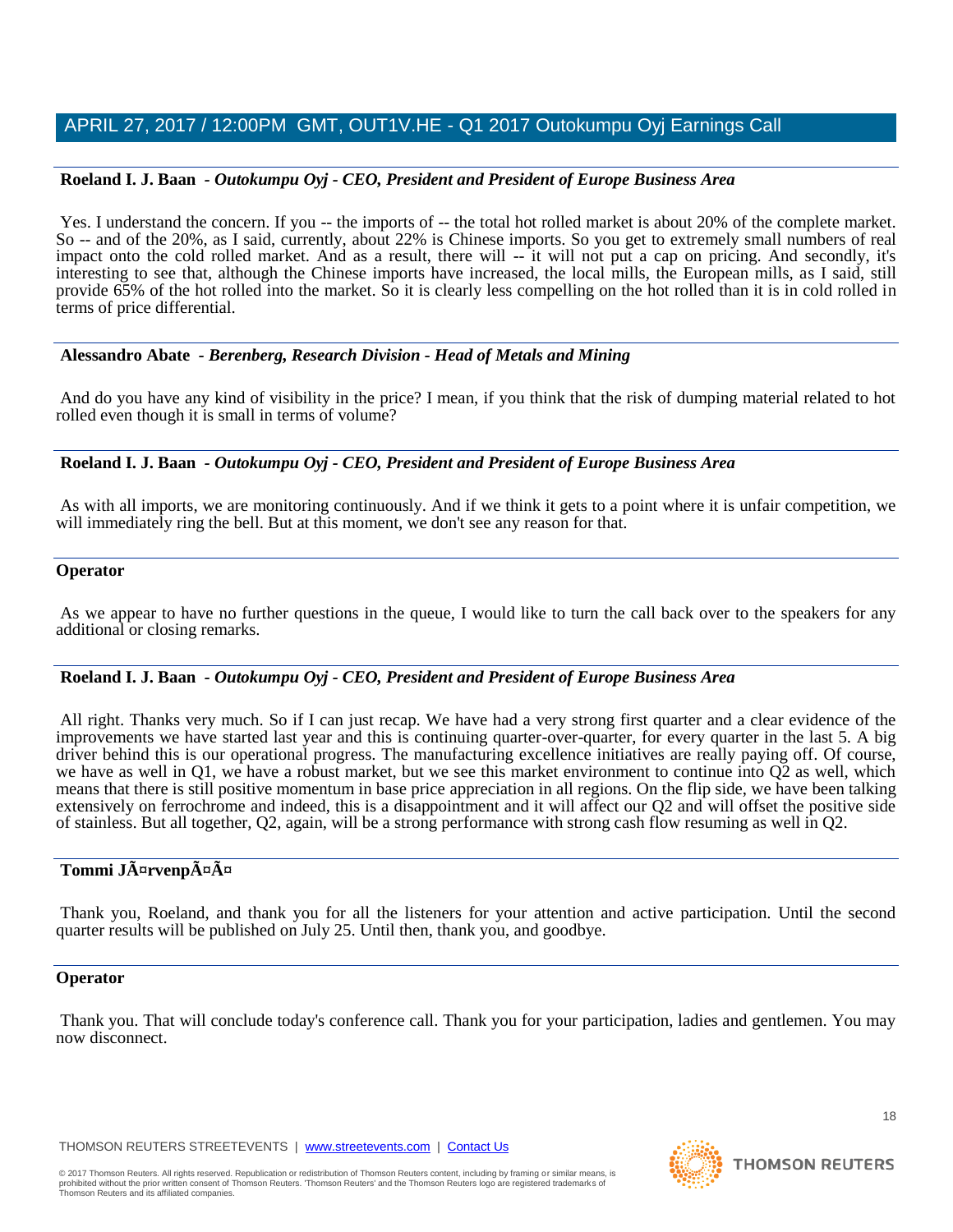## **Roeland I. J. Baan** *- Outokumpu Oyj - CEO, President and President of Europe Business Area*

Yes. I understand the concern. If you -- the imports of -- the total hot rolled market is about 20% of the complete market. So -- and of the 20%, as I said, currently, about 22% is Chinese imports. So you get to extremely small numbers of real impact onto the cold rolled market. And as a result, there will -- it will not put a cap on pricing. And secondly, it's interesting to see that, although the Chinese imports have increased, the local mills, the European mills, as I said, still provide 65% of the hot rolled into the market. So it is clearly less compelling on the hot rolled than it is in cold rolled in terms of price differential.

## **Alessandro Abate** *- Berenberg, Research Division - Head of Metals and Mining*

And do you have any kind of visibility in the price? I mean, if you think that the risk of dumping material related to hot rolled even though it is small in terms of volume?

## **Roeland I. J. Baan** *- Outokumpu Oyj - CEO, President and President of Europe Business Area*

As with all imports, we are monitoring continuously. And if we think it gets to a point where it is unfair competition, we will immediately ring the bell. But at this moment, we don't see any reason for that.

## **Operator**

As we appear to have no further questions in the queue, I would like to turn the call back over to the speakers for any additional or closing remarks.

#### **Roeland I. J. Baan** *- Outokumpu Oyj - CEO, President and President of Europe Business Area*

All right. Thanks very much. So if I can just recap. We have had a very strong first quarter and a clear evidence of the improvements we have started last year and this is continuing quarter-over-quarter, for every quarter in the last 5. A big driver behind this is our operational progress. The manufacturing excellence initiatives are really paying off. Of course, we have as well in Q1, we have a robust market, but we see this market environment to continue into Q2 as well, which means that there is still positive momentum in base price appreciation in all regions. On the flip side, we have been talking extensively on ferrochrome and indeed, this is a disappointment and it will affect our Q2 and will offset the positive side of stainless. But all together, Q2, again, will be a strong performance with strong cash flow resuming as well in Q2.

# **Tommi Järvenpää**

Thank you, Roeland, and thank you for all the listeners for your attention and active participation. Until the second quarter results will be published on July 25. Until then, thank you, and goodbye.

#### **Operator**

Thank you. That will conclude today's conference call. Thank you for your participation, ladies and gentlemen. You may now disconnect.